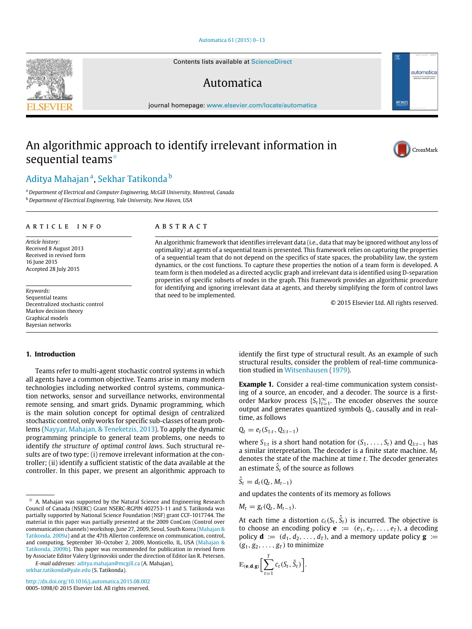#### [Automatica 61 \(2015\) 0–13](http://dx.doi.org/10.1016/j.automatica.2015.08.002)

Contents lists available at [ScienceDirect](http://www.elsevier.com/locate/automatica)

# Automatica

journal homepage: [www.elsevier.com/locate/automatica](http://www.elsevier.com/locate/automatica)

# An algorithmic approach to identify irrelevant information in sequential teams<sup>\*</sup>

# [Aditya Mahajan](#page-13-0)<sup>[a](#page-0-1)</sup>, [Sekhar Tatikonda](#page-13-1) <sup>[b](#page-0-2)</sup>

<span id="page-0-1"></span><sup>a</sup> *Department of Electrical and Computer Engineering, McGill University, Montreal, Canada*

<span id="page-0-2"></span><sup>b</sup> *Department of Electrical Engineering, Yale University, New Haven, USA*

#### a r t i c l e i n f o

*Article history:* Received 8 August 2013 Received in revised form 16 June 2015 Accepted 28 July 2015

*Keywords:* Sequential teams Decentralized stochastic control Markov decision theory Graphical models Bayesian networks

### A B S T R A C T

An algorithmic framework that identifies irrelevant data (i.e., data that may be ignored without any loss of optimality) at agents of a sequential team is presented. This framework relies on capturing the properties of a sequential team that do not depend on the specifics of state spaces, the probability law, the system dynamics, or the cost functions. To capture these properties the notion of a team form is developed. A team form is then modeled as a directed acyclic graph and irrelevant data is identified using D-separation properties of specific subsets of nodes in the graph. This framework provides an algorithmic procedure for identifying and ignoring irrelevant data at agents, and thereby simplifying the form of control laws that need to be implemented.

© 2015 Elsevier Ltd. All rights reserved.

# **1. Introduction**

Teams refer to multi-agent stochastic control systems in which all agents have a common objective. Teams arise in many modern technologies including networked control systems, communication networks, sensor and surveillance networks, environmental remote sensing, and smart grids. Dynamic programming, which is the main solution concept for optimal design of centralized stochastic control, only works for specific sub-classes of team problems [\(Nayyar, Mahajan, & Teneketzis, 2013\)](#page-12-0). To apply the dynamic programming principle to general team problems, one needs to identify *the structure of optimal control laws*. Such structural results are of two type: (i) remove irrelevant information at the controller; (ii) identify a sufficient statistic of the data available at the controller. In this paper, we present an algorithmic approach to

*E-mail addresses:* [aditya.mahajan@mcgill.ca](mailto:aditya.mahajan@mcgill.ca) (A. Mahajan), [sekhar.tatikonda@yale.edu](mailto:sekhar.tatikonda@yale.edu) (S. Tatikonda).

<http://dx.doi.org/10.1016/j.automatica.2015.08.002> 0005-1098/© 2015 Elsevier Ltd. All rights reserved.

identify the first type of structural result. As an example of such structural results, consider the problem of real-time communication studied in [Witsenhausen](#page-13-2) [\(1979\)](#page-13-2).

<span id="page-0-3"></span>**Example 1.** Consider a real-time communication system consisting of a source, an encoder, and a decoder. The source is a firstorder Markov process  $\{S_t\}_{t=1}^{\infty}$ . The encoder observes the source output and generates quantized symbols *Q<sup>t</sup>* , causally and in realtime, as follows

$$
Q_t = e_t(S_{1:t}, Q_{1:t-1})
$$

where  $S_{1:t}$  is a short hand notation for  $(S_1, \ldots, S_t)$  and  $Q_{1:t-1}$  has a similar interpretation. The decoder is a finite state machine. *M<sup>t</sup>* denotes the state of the machine at time *t*. The decoder generates an estimate  $\hat{S}_t$  of the source as follows

$$
\hat{S}_t = d_t(Q_t, M_{t-1})
$$

and updates the contents of its memory as follows

$$
M_t = g_t(Q_t, M_{t-1}).
$$

At each time a distortion  $c_t(S_t, \hat{S}_t)$  is incurred. The objective is to choose an encoding policy  $\mathbf{e} := (e_1, e_2, \dots, e_T)$ , a decoding policy  $\mathbf{d} := (d_1, d_2, \dots, d_T)$ , and a memory update policy  $\mathbf{g} :=$  $(g_1, g_2, \ldots, g_T)$  to minimize

$$
\mathbb{E}_{(\mathbf{e},\mathbf{d},\mathbf{g})}\bigg[\sum_{t=1}^T c_t(S_t,\hat{S}_t)\bigg].
$$





 $\overline{\sigma}$  IFA

automatica

<span id="page-0-0"></span> $\overrightarrow{x}$  A. Mahajan was supported by the Natural Science and Engineering Research Council of Canada (NSERC) Grant NSERC-RGPIN 402753-11 and S. Tatikonda was partially supported by National Science Foundation (NSF) grant CCF-1017744. The material in this paper was partially presented at the 2009 ConCom (Control over communication channels) workshop, June 27, 2009, Seoul, South Korea [\(Mahajan &](#page-12-1) [Tatikonda, 2009a\)](#page-12-1) and at the 47th Allerton conference on communication, control, and computing, September 30–October 2, 2009, Monticello, IL, USA [\(Mahajan &](#page-12-2) [Tatikonda, 2009b\)](#page-12-2). This paper was recommended for publication in revised form by Associate Editor Valery Ugrinovskii under the direction of Editor Ian R. Petersen.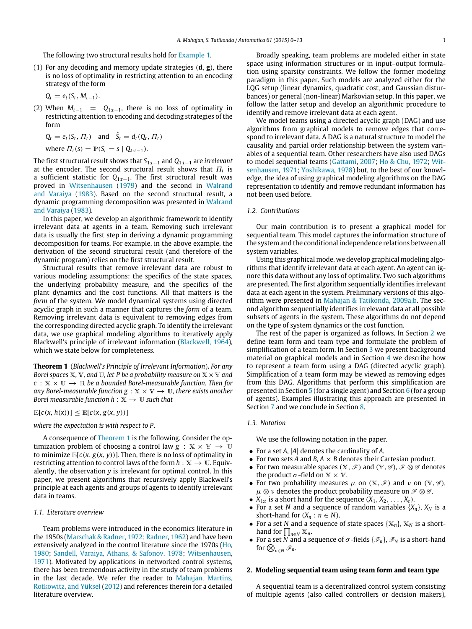The following two structural results hold for [Example 1.](#page-0-3)

(1) For any decoding and memory update strategies (**d**, **g**), there is no loss of optimality in restricting attention to an encoding strategy of the form

$$
Q_t = e_t(S_t, M_{t-1}).
$$

(2) When  $M_{t-1} = Q_{1:t-1}$ , there is no loss of optimality in restricting attention to encoding and decoding strategies of the form

$$
Q_t = e_t(S_t, \Pi_t)
$$
 and  $\hat{S}_t = d_t(Q_t, \Pi_t)$ 

where  $\Pi_t(s) = \mathbb{P}(S_t = s \mid Q_{1:t-1})$ .

The first structural result shows that *S*1:*t*−<sup>1</sup> and *Q*1:*t*−<sup>1</sup> are *irrelevant* at the encoder. The second structural result shows that  $\Pi_t$  is a sufficient statistic for *Q*1:*t*−1. The first structural result was proved in [Witsenhausen](#page-13-2) [\(1979\)](#page-13-2) and the second in [Walrand](#page-13-3) [and Varaiya](#page-13-3) [\(1983\)](#page-13-3). Based on the second structural result, a dynamic programming decomposition was presented in [Walrand](#page-13-3) [and Varaiya](#page-13-3) [\(1983\)](#page-13-3).

In this paper, we develop an algorithmic framework to identify irrelevant data at agents in a team. Removing such irrelevant data is usually the first step in deriving a dynamic programming decomposition for teams. For example, in the above example, the derivation of the second structural result (and therefore of the dynamic program) relies on the first structural result.

Structural results that remove irrelevant data are robust to various modeling assumptions: the specifics of the state spaces, the underlying probability measure, and the specifics of the plant dynamics and the cost functions. All that matters is the *form* of the system. We model dynamical systems using directed acyclic graph in such a manner that captures the *form* of a team. Removing irrelevant data is equivalent to removing edges from the corresponding directed acyclic graph. To identify the irrelevant data, we use graphical modeling algorithms to iteratively apply Blackwell's principle of irrelevant information [\(Blackwell, 1964\)](#page-12-3), which we state below for completeness.

<span id="page-1-0"></span>**Theorem 1** (*Blackwell's Principle of Irrelevant Information*)**.** *For any Borel spaces*  $X$ *,*  $Y$ *<i>, and*  $U$ *, let P be a probability measure on*  $X \times Y$  *and*  $c: \mathbb{X} \times \mathbb{U} \rightarrow \mathbb{R}$  *be a bounded Borel-measurable function. Then for any Borel-measurable function g* :  $X \times Y \rightarrow U$ *, there exists another Borel measurable function h* :  $X \rightarrow U$  *such that* 

 $\mathbb{E}[c(x, h(x))] \leq \mathbb{E}[c(x, g(x, y))]$ 

*where the expectation is with respect to P.*

A consequence of [Theorem 1](#page-1-0) is the following. Consider the optimization problem of choosing a control law  $g : X \times Y \to U$ to minimize  $\mathbb{E}[c(x, g(x, y))]$ . Then, there is no loss of optimality in restricting attention to control laws of the form  $h : \mathbb{X} \to \mathbb{U}$ . Equivalently, the observation *y* is irrelevant for optimal control. In this paper, we present algorithms that recursively apply Blackwell's principle at each agents and groups of agents to identify irrelevant data in teams.

#### *1.1. Literature overview*

Team problems were introduced in the economics literature in the 1950s [\(Marschak & Radner, 1972;](#page-12-4) [Radner,](#page-13-4) [1962\)](#page-13-4) and have been extensively analyzed in the control literature since the 1970s [\(Ho,](#page-12-5) [1980;](#page-12-5) [Sandell, Varaiya, Athans, & Safonov, 1978;](#page-13-5) [Witsenhausen,](#page-13-6) [1971\)](#page-13-6). Motivated by applications in networked control systems, there has been tremendous activity in the study of team problems in the last decade. We refer the reader to [Mahajan, Martins,](#page-12-6) [Rotkowitz, and Yüksel](#page-12-6) [\(2012\)](#page-12-6) and references therein for a detailed literature overview.

Broadly speaking, team problems are modeled either in state space using information structures or in input–output formulation using sparsity constraints. We follow the former modeling paradigm in this paper. Such models are analyzed either for the LQG setup (linear dynamics, quadratic cost, and Gaussian disturbances) or general (non-linear) Markovian setup. In this paper, we follow the latter setup and develop an algorithmic procedure to identify and remove irrelevant data at each agent.

We model teams using a directed acyclic graph (DAG) and use algorithms from graphical models to remove edges that correspond to irrelevant data. A DAG is a natural structure to model the causality and partial order relationship between the system variables of a sequential team. Other researchers have also used DAGs [t](#page-13-6)o model sequential teams [\(Gattami,](#page-12-7) [2007;](#page-12-7) [Ho & Chu, 1972;](#page-12-8) [Wit](#page-13-6)[senhausen,](#page-13-6) [1971;](#page-13-6) [Yoshikawa,](#page-13-7) [1978\)](#page-13-7) but, to the best of our knowledge, the idea of using graphical modeling algorithms on the DAG representation to identify and remove redundant information has not been used before.

# *1.2. Contributions*

Our main contribution is to present a graphical model for sequential team. This model captures the information structure of the system and the conditional independence relations between all system variables.

Using this graphical mode, we develop graphical modeling algorithms that identify irrelevant data at each agent. An agent can ignore this data without any loss of optimality. Two such algorithms are presented. The first algorithm sequentially identifies irrelevant data at each agent in the system. Preliminary versions of this algo-rithm were presented in [Mahajan & Tatikonda, 2009a,b.](#page-12-1) The second algorithm sequentially identifies irrelevant data at all possible subsets of agents in the system. These algorithms do not depend on the type of system dynamics or the cost function.

The rest of the paper is organized as follows. In Section [2](#page-1-1) we define team form and team type and formulate the problem of simplification of a team form. In Section [3](#page-3-0) we present background material on graphical models and in Section [4](#page-4-0) we describe how to represent a team form using a DAG (directed acyclic graph). Simplification of a team form may be viewed as removing edges from this DAG. Algorithms that perform this simplification are presented in Section [5](#page-5-0) (for a single agent) and Section [6](#page-6-0) (for a group of agents). Examples illustrating this approach are presented in Section [7](#page-8-0) and we conclude in Section [8.](#page-9-0)

#### *1.3. Notation*

We use the following notation in the paper.

- For a set *A*, |*A*| denotes the cardinality of *A*.
- For two sets *A* and *B*,  $A \times B$  denotes their Cartesian product.
- For two measurable spaces  $(X, \mathcal{F})$  and  $(Y, \mathcal{G})$ ,  $\mathcal{F} \otimes \mathcal{G}$  denotes the product  $\sigma$ -field on  $X \times Y$ .
- For two probability measures  $\mu$  on  $(X, \mathscr{F})$  and  $\nu$  on  $(Y, \mathscr{G})$ ,  $\mu \otimes \nu$  denotes the product probability measure on  $\mathscr{F}\otimes \mathscr{G}$ .
- $X_{1:t}$  is a short hand for the sequence  $(X_1, X_2, \ldots, X_t)$ .
- For a set *N* and a sequence of random variables  $\{X_n\}$ ,  $X_N$  is a short-hand for  $(X_n : n \in N)$ .
- For a set *N* and a sequence of state spaces  $\{X_n\}$ ,  $X_N$  is a shorthand for  $\prod_{n \in N} X_n$ .
- For a set N and a sequence of  $\sigma$ -fields  $\{\mathscr{F}_n\}$ ,  $\mathscr{F}_N$  is a short-hand for  $\bigotimes_{n\in\mathbb{N}}\mathscr{F}_n$ .

# <span id="page-1-1"></span>**2. Modeling sequential team using team form and team type**

A sequential team is a decentralized control system consisting of multiple agents (also called controllers or decision makers),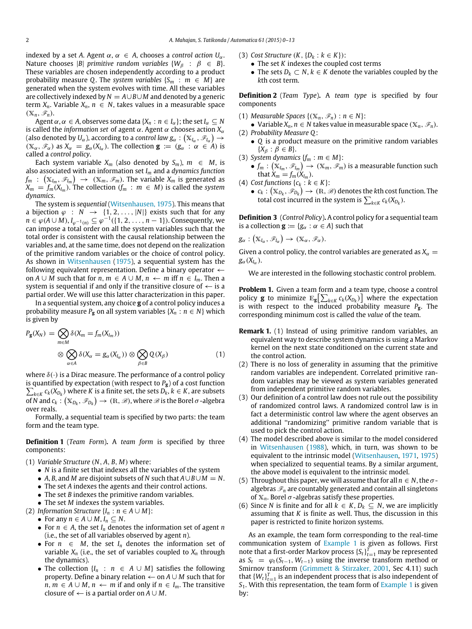indexed by a set *A*. Agent  $\alpha$ ,  $\alpha \in A$ , chooses a *control action*  $U_{\alpha}$ . Nature chooses |*B*| *primitive random variables*  $\{W_\beta : \beta \in B\}$ . These variables are chosen independently according to a product probability measure *Q*. The *system variables*  $\{S_m : m \in M\}$  are generated when the system evolves with time. All these variables are collectively indexed by *N* = *A*∪*B*∪*M* and denoted by a generic term  $X_n$ . Variable  $X_n$ ,  $n \in N$ , takes values in a measurable space  $(X_n, \mathscr{F}_n)$ .

Agent  $\alpha$ ,  $\alpha \in A$ , observes some data  $\{X_n : n \in I_\alpha\}$ ; the set  $I_\alpha \subseteq N$ is called the *information set* of agent  $\alpha$ . Agent  $\alpha$  chooses action  $X_{\alpha}$ (also denoted by  $U_\alpha$  ), according to a *control law g* $_\alpha: \big( \mathbb{X}_{l_\alpha}, \mathscr{F}_{l_\alpha} \big) \to$  $(X_\alpha, \mathscr{F}_\alpha)$  as  $X_\alpha = g_\alpha(X_{I_\alpha})$ . The collection  $\mathbf{g} := (g_\alpha : \alpha \in A)$  is called a *control policy*.

Each system variable  $X_m$  (also denoted by  $S_m$ ),  $m \in M$ , is also associated with an information set *I<sup>m</sup>* and a *dynamics function*  $f_m$  :  $\left(\mathbb{X}_{I_m}, \mathscr{F}_{I_m}\right) \rightarrow \ (\mathbb{X}_m, \mathscr{F}_m).$  The variable  $X_m$  is generated as  $X_m = f_m(X_{I_m})$ . The collection ( $f_m : m \in M$ ) is called the *system dynamics*.

The system is *sequential* [\(Witsenhausen, 1975\)](#page-13-8). This means that a bijection  $\varphi : N \to \{1, 2, ..., |N|\}$  exists such that for any  $n \in \varphi(A\cup M)$ ,  $I_{\varphi^{-1}(n)} \subseteq \varphi^{-1}(\{1, 2, \ldots, n-1\})$ . Consequently, we can impose a total order on all the system variables such that the total order is consistent with the causal relationship between the variables and, at the same time, does not depend on the realization of the primitive random variables or the choice of control policy. As shown in [Witsenhausen](#page-13-8) [\(1975\)](#page-13-8), a sequential system has the following equivalent representation. Define a binary operator  $\leftarrow$ on *A* ∪ *M* such that for *n*, *m* ∈ *A* ∪ *M*, *n* ← *m* iff *n* ∈ *I<sub>m</sub>*. Then a system is sequential if and only if the transitive closure of  $\leftarrow$  is a partial order. We will use this latter characterization in this paper.

In a sequential system, any choice **g** of a control policy induces a probability measure  $P_g$  on all system variables  $\{X_n : n \in N\}$  which is given by

$$
P_{\mathbf{g}}(X_N) = \bigotimes_{m \in M} \delta(X_m = f_m(X_{I_m}))
$$
  

$$
\otimes \bigotimes_{\alpha \in A} \delta(X_{\alpha} = g_{\alpha}(X_{I_{\alpha}})) \otimes \bigotimes_{\beta \in B} Q(X_{\beta})
$$
 (1)

where  $\delta(\cdot)$  is a Dirac measure. The performance of a control policy is quantified by expectation (with respect to *P***g**) of a cost function  $\sum_{k\in K} c_k(X_{D_k})$  where *K* is a finite set, the sets  $D_k$ ,  $k \in K$ , are subsets of  $N$  and  $c_k: \left( {{{\mathbb{X}}_{{D_k}}},\mathscr{F}_{{D_k}}} \right) \to \left( {\mathbb{R},\mathscr{B}} \right)$ , where  $\mathscr{B}$  is the Borel  $\sigma$  -algebra over reals.

Formally, a sequential team is specified by two parts: the team form and the team type.

**Definition 1** (*Team Form*)**.** A *team form* is specified by three components:

- (1) *Variable Structure* (*N*, *A*, *B*, *M*) where:
	- *N* is a finite set that indexes all the variables of the system
	- *A*, *B*, and *M* are disjoint subsets of *N* such that *A*∪*B*∪*M* = *N*.
	- The set *A* indexes the agents and their control actions.
	- The set *B* indexes the primitive random variables.
	- The set *M* indexes the system variables.
- (2) *Information Structure*  $\{I_n : n \in A \cup M\}$ :
- For any  $n \in A \cup M$ ,  $I_n \subseteq N$ .
	- For  $n \in A$ , the set  $I_n$  denotes the information set of agent  $n$ (i.e., the set of all variables observed by agent *n*).
	- For  $n \in M$ , the set  $I_n$  denotes the information set of variable  $X_n$  (i.e., the set of variables coupled to  $X_n$  through the dynamics).
	- The collection  $\{I_n : n \in A \cup M\}$  satisfies the following property. Define a binary relation ← on *A* ∪ *M* such that for *n*, *m* ∈ *A* ∪ *M*, *n* ← *m* if and only if *n* ∈ *I<sub>m</sub>*. The transitive closure of  $\leftarrow$  is a partial order on  $A \cup M$ .
- (3) *Cost Structure*  $(K, \{D_k : k \in K\})$ :
	- The set *K* indexes the coupled cost terms
	- The sets  $D_k \subset N$ ,  $k \in K$  denote the variables coupled by the *k*th cost term.

**Definition 2** (*Team Type*)**.** A *team type* is specified by four components

- (1) *Measurable Spaces*  $\{(\mathbb{X}_n, \mathscr{F}_n) : n \in \mathbb{N}\}$ :
- Variable  $X_n$ ,  $n \in N$  takes value in measurable space  $(X_n, \mathscr{F}_n)$ . (2) *Probability Measure Q*:
- *Q* is a product measure on the primitive random variables  $\{X_{\beta} : \beta \in B\}.$
- (3) *System dynamics*  ${f_m : m \in M}$ :
- $\bullet$   $f_m: (\mathbb{X}_{I_m}, \mathscr{F}_{I_m}) \to (\mathbb{X}_m, \mathscr{F}_m)$  is a measurable function such that  $X_m = f_m(X_{l_m})$ .
- (4) *Cost functions*  $\{c_k : k \in K\}$ :
	- $\bullet \;\, c_k: \big( \mathbb{X}_{D_k}, \mathscr{F}_{D_k} \big) \to \, (\mathbb{R}, \mathscr{B})$  denotes the  $k$ th cost function. The total cost incurred in the system is  $\sum_{k \in K} c_k(X_{D_k})$ .

**Definition 3** (*Control Policy*)**.** A control policy for a sequential team is a collection  $\mathbf{g} := \{g_\alpha : \alpha \in A\}$  such that

$$
g_{\alpha}: (\mathbb{X}_{I_{\alpha}}, \mathscr{F}_{I_{\alpha}}) \rightarrow (\mathbb{X}_{\alpha}, \mathscr{F}_{\alpha}).
$$

Given a control policy, the control variables are generated as  $X_\alpha =$  $g_{\alpha}(X_{I_{\alpha}})$ .

<span id="page-2-0"></span>We are interested in the following stochastic control problem.

**Problem 1.** Given a team form and a team type, choose a control policy **g** to minimize  $\mathbb{E}_{g} \left[ \sum_{k \in K} c_{k}(X_{D_{k}}) \right]$  where the expectation is with respect to the induced probability measure *P***g**. The corresponding minimum cost is called the *value* of the team.

- **Remark 1.** (1) Instead of using primitive random variables, an equivalent way to describe system dynamics is using a Markov kernel on the next state conditioned on the current state and the control action.
- <span id="page-2-1"></span>(2) There is no loss of generality in assuming that the primitive random variables are independent. Correlated primitive random variables may be viewed as system variables generated from independent primitive random variables.
- (3) Our definition of a control law does not rule out the possibility of randomized control laws. A randomized control law is in fact a deterministic control law where the agent observes an additional "randomizing" primitive random variable that is used to pick the control action.
- (4) The model described above is similar to the model considered in [Witsenhausen](#page-13-9) [\(1988\)](#page-13-9), which, in turn, was shown to be equivalent to the intrinsic model [\(Witsenhausen,](#page-13-10) [1971,](#page-13-10) [1975\)](#page-13-10) when specialized to sequential teams. By a similar argument, the above model is equivalent to the intrinsic model.
- (5) Throughout this paper, we will assume that for all  $n \in N$ , the  $\sigma$ algebras  $\mathcal{F}_n$  are countably generated and contain all singletons of  $X_n$ . Borel  $\sigma$ -algebras satisfy these properties.
- (6) Since *N* is finite and for all  $k \in K$ ,  $D_k \subseteq N$ , we are implicitly assuming that *K* is finite as well. Thus, the discussion in this paper is restricted to finite horizon systems.

As an example, the team form corresponding to the real-time communication system of [Example 1](#page-0-3) is given as follows. First note that a first-order Markov process  $\{S_t\}_{t=1}^T$  may be represented as  $S_t = \varphi_t(S_{t-1}, W_{t-1})$  using the inverse transform method or Smirnov transform [\(Grimmett & Stirzaker, 2001,](#page-12-9) Sec 4.11) such that  ${W_t}_{t=1}^T$  is an independent process that is also independent of *S*1. With this representation, the team form of [Example 1](#page-0-3) is given by: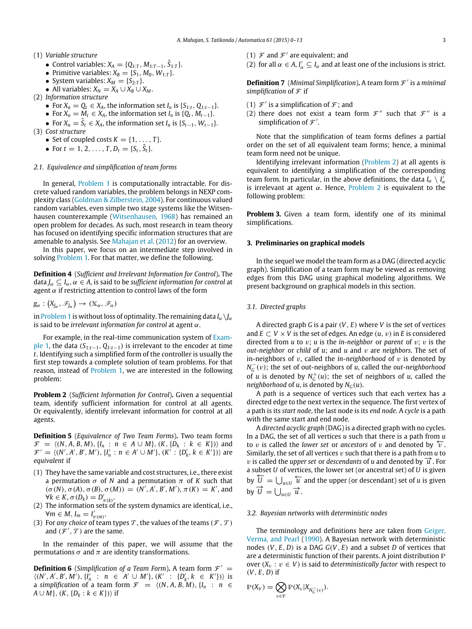- (1) *Variable structure*
	- $\bullet$  Control variables: *X<sub>A</sub>* = {Q<sub>1:*T*</sub>, *M*<sub>1:*T*−1</sub>,  $\hat{S}_{1:T}$ }.
	- Primitive variables:  $X_B = \{S_1, M_0, W_{1:T}\}.$
	- System variables:  $X_M = \{S_{2:T}\}.$
	- All variables:  $X_N = X_A \cup X_B \cup X_M$ .
- (2) *Information structure*
	- For  $X_n = Q_t \in X_A$ , the information set  $I_n$  is  $\{S_{1:t}, Q_{1:t-1}\}.$
	- For  $X_n = M_t \in X_A$ , the information set  $I_n$  is  $\{Q_t, M_{t-1}\}.$
- For  $X_n = \hat{S}_t \in X_A$ , the information set  $I_n$  is  $\{S_{t-1}, W_{t-1}\}.$ (3) *Cost structure*
	- Set of coupled costs  $K = \{1, \ldots, T\}.$
	- For  $t = 1, 2, ..., T$ ,  $D_t = \{S_t, \hat{S}_t\}.$
- *2.1. Equivalence and simplification of team forms*

In general, [Problem 1](#page-2-0) is computationally intractable. For discrete valued random variables, the problem belongs in NEXP complexity class [\(Goldman & Zilberstein, 2004\)](#page-12-10). For continuous valued random variables, even simple two stage systems like the Witsenhausen counterexample [\(Witsenhausen, 1968\)](#page-13-11) has remained an open problem for decades. As such, most research in team theory has focused on identifying specific information structures that are amenable to analysis. See [Mahajan et al.](#page-12-6) [\(2012\)](#page-12-6) for an overview.

In this paper, we focus on an intermediate step involved in solving [Problem 1.](#page-2-0) For that matter, we define the following.

**Definition 4** (*Sufficient and Irrelevant Information for Control*)**.** The data  $J_\alpha \subseteq I_\alpha$ ,  $\alpha \in A$ , is said to be *sufficient information for control* at agent  $\alpha$  if restricting attention to control laws of the form

$$
g_\alpha: (X_{J_\alpha}, \mathscr{F}_{J_\alpha}) \to (\mathbb{X}_\alpha, \mathscr{F}_\alpha)
$$

in [Problem 1](#page-2-0) is without loss of optimality. The remaining data  $I_\alpha \setminus I_\alpha$ is said to be *irrelevant information for control* at agent α.

For example, in the real-time communication system of [Exam](#page-0-3)[ple 1,](#page-0-3) the data (*S*1:*t*−1, *Q*1:*t*−1) is irrelevant to the encoder at time *t*. Identifying such a simplified form of the controller is usually the first step towards a complete solution of team problems. For that reason, instead of [Problem 1,](#page-2-0) we are interested in the following problem:

<span id="page-3-1"></span>**Problem 2** (*Sufficient Information for Control*)**.** Given a sequential team, identify sufficient information for control at all agents. Or equivalently, identify irrelevant information for control at all agents.

**Definition 5** (*Equivalence of Two Team Forms*)**.** Two team forms  $\mathcal{F} = \langle (N, A, B, M), \{I_n : n \in A \cup M\}, (K, \{D_k : k \in K\}) \rangle$  and  $\mathcal{F}' = \langle (N', A', B', M'), \{I'_n : n \in A' \cup M'\}, (K' : \{D'_k, k \in K'\}) \rangle$  are *equivalent* if

- (1) They have the same variable and cost structures, i.e., there exist a permutation  $\sigma$  of *N* and a permutation  $\pi$  of *K* such that  $(\sigma(N), \sigma(A), \sigma(B), \sigma(M)) = (N', A', B', M'), \pi(K) = K'$ , and  $\forall k \in K, \sigma(D_k) = D'_{\pi(k)}.$
- (2) The information sets of the system dynamics are identical, i.e.,  $\forall m \in M$ ,  $I_m = I'_{\sigma(m)}$ .
- (3) For *any choice* of team types  $\mathcal T$ , the values of the teams ( $\mathcal F$ ,  $\mathcal T$ ) and  $(\mathcal{F}', \mathcal{T})$  are the same.

In the remainder of this paper, we will assume that the permutations  $\sigma$  and  $\pi$  are identity transformations.

**Definition 6** (*Simplification of a Team Form*). A team form  $\mathcal{F}' =$  $\langle (N', A', B', M'), \{I'_n : n \in A' \cup M'\}, (K' : \{D'_k, k \in K'\})\rangle$  is a *simplification* of a team form  $\mathcal{F} = \langle (N, A, B, M), \{I_n : n \in \mathcal{F} \rangle\}$  $A \cup M$ ,  $(K, \{D_k : k \in K\})$  if

- (1)  $\mathcal F$  and  $\mathcal F'$  are equivalent; and
- (2) for all  $\alpha \in A$ ,  $I'_\alpha \subseteq I_\alpha$  and at least one of the inclusions is strict.

Definition 7 (Minimal Simplification). A team form  $\mathcal{F}'$  is a minimal *simplification* of  $F$  if

- (1)  $\mathcal{F}'$  is a simplification of  $\mathcal{F}$ ; and
- (2) there does not exist a team form  $\mathcal{F}''$  such that  $\mathcal{F}''$  is a simplification of  $\mathcal{F}'$ .

Note that the simplification of team forms defines a partial order on the set of all equivalent team forms; hence, a minimal team form need not be unique.

Identifying irrelevant information [\(Problem 2\)](#page-3-1) at all agents is equivalent to identifying a simplification of the corresponding team form. In particular, in the above definitions, the data  $I_\alpha \setminus I'_\alpha$ is irrelevant at agent  $\alpha$ . Hence, [Problem 2](#page-3-1) is equivalent to the following problem:

**Problem 3.** Given a team form, identify one of its minimal simplifications.

#### <span id="page-3-0"></span>**3. Preliminaries on graphical models**

In the sequel we model the team form as a DAG (directed acyclic graph). Simplification of a team form may be viewed as removing edges from this DAG using graphical modeling algorithms. We present background on graphical models in this section.

#### *3.1. Directed graphs*

A directed graph *G* is a pair (*V*, *E*) where *V* is the set of vertices and  $E \subset V \times V$  is the set of edges. An edge  $(u, v)$  in *E* is considered directed from *u* to v; *u* is the *in-neighbor* or *parent* of v; v is the *out-neighbor* or *child* of *u*; and *u* and v are *neighbors*. The set of in-neighbors of  $v$ , called the *in-neighborhood* of  $v$  is denoted by *N*<sub>*G*</sub><sup>−</sup>(*v*); the set of out-neighbors of *u*, called the *out-neighborhood* of *u* is denoted by  $N_G^+(u)$ ; the set of neighbors of *u*, called the *neighborhood* of *u*, is denoted by  $N<sub>G</sub>(u)$ .

A *path* is a sequence of vertices such that each vertex has a directed edge to the next vertex in the sequence. The first vertex of a path is its *start node*, the last node is its *end node*. A *cycle* is a path with the same start and end node.

A *directed acyclic graph* (DAG) is a directed graph with no cycles. In a DAG, the set of all vertices *u* such that there is a path from *u* to v is called the *lower set* or *ancestors* of v and denoted by  $\overleftarrow{v}$ . Similarly, the set of all vertices v such that there is a path from *u* to *v* is called the *upper set* or *descendants* of *u* and denoted by  $\vec{u}$ . For a subset *U* of vertices, the lower set (or ancestral set) of *U* is given by  $\overline{U} = \bigcup_{u \in U} \overline{u}$  and the upper (or descendant) set of *u* is given by  $\overrightarrow{U} = \bigcup_{u \in U} \overrightarrow{u}$ .

#### *3.2. Bayesian networks with deterministic nodes*

The terminology and definitions here are taken from [Geiger,](#page-12-11) [Verma, and Pearl](#page-12-11) [\(1990\)](#page-12-11). A Bayesian network with deterministic nodes (*V*, *E*, *D*) is a DAG *G*(*V*, *E*) and a subset *D* of vertices that are a deterministic function of their parents. A joint distribution P over  $(X_v : v \in V)$  is said to *deterministically factor* with respect to (*V*, *E*, *D*) if

$$
\mathbb{P}(X_V) = \bigotimes_{v \in V} \mathbb{P}(X_v | X_{N_G^{-}(v)}).
$$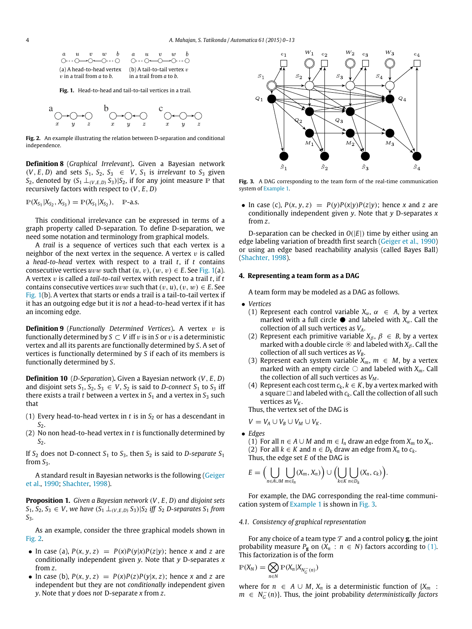<span id="page-4-1"></span>

**Fig. 1.** Head-to-head and tail-to-tail vertices in a trail.

<span id="page-4-2"></span>

**Fig. 2.** An example illustrating the relation between D-separation and conditional independence.

**Definition 8** (*Graphical Irrelevant*)**.** Given a Bayesian network  $(V, E, D)$  and sets  $S_1, S_2, S_3 \in V, S_1$  is *irrelevant* to  $S_3$  given *S*<sub>2</sub>, denoted by  $(S_1 \perp_{(V,E,D)} S_3) | S_2$ , if for any joint measure P that recursively factors with respect to (*V*, *E*, *D*)

$$
\mathbb{P}(X_{S_1}|X_{S_2}, X_{S_3}) = \mathbb{P}(X_{S_1}|X_{S_2}), \quad \mathbb{P}\text{-a.s.}
$$

This conditional irrelevance can be expressed in terms of a graph property called D-separation. To define D-separation, we need some notation and terminology from graphical models.

A *trail* is a sequence of vertices such that each vertex is a neighbor of the next vertex in the sequence. A vertex  $v$  is called a *head-to-head* vertex with respect to a trail *t*, if *t* contains consecutive vertices  $uvw$  such that  $(u, v), (w, v) \in E$ . See [Fig. 1\(](#page-4-1)a). A vertex v is called a *tail-to-tail* vertex with respect to a trail *t*, if *t* contains consecutive vertices  $uvw$  such that  $(v, u), (v, w) \in E$ . See [Fig. 1\(](#page-4-1)b). A vertex that starts or ends a trail is a tail-to-tail vertex if it has an outgoing edge but it is *not* a head-to-head vertex if it has an incoming edge.

**Definition 9** (*Functionally Determined Vertices*). A vertex v is functionally determined by  $S \subset V$  iff v is in S or v is a deterministic vertex and all its parents are functionally determined by *S*. A set of vertices is functionally determined by *S* if each of its members is functionally determined by *S*.

**Definition 10** (*D-Separation*)**.** Given a Bayesian network (*V*, *E*, *D*) and disjoint sets  $S_1, S_2, S_3 \in V$ ,  $S_2$  is said to *D*-connect  $S_1$  to  $S_3$  iff there exists a trail *t* between a vertex in  $S_1$  and a vertex in  $S_3$  such that

- (1) Every head-to-head vertex in  $t$  is in  $S_2$  or has a descendant in *S*2.
- (2) No non head-to-head vertex in *t* is functionally determined by *S*2.

If  $S_2$  does not D-connect  $S_1$  to  $S_3$ , then  $S_2$  is said to D-separate  $S_1$ from  $S_3$ .

A standard result in Bayesian networks is the following [\(Geiger](#page-12-11) [et al.,](#page-12-11) [1990;](#page-12-11) [Shachter,](#page-13-12) [1998\)](#page-13-12).

**Proposition 1.** *Given a Bayesian network* (*V*, *E*, *D*) *and disjoint sets S*<sub>1</sub>*, S*<sub>2</sub>*, S*<sub>3</sub> ∈ *V, we have*  $(S_1 ⊥_{(V,E,D)} S_3) |S_2$  *iff*  $S_2$  *D-separates*  $S_1$  *from S*3*.*

As an example, consider the three graphical models shown in [Fig. 2.](#page-4-2)

- In case (a),  $P(x, y, z) = P(x)P(y|x)P(z|y)$ ; hence *x* and *z* are conditionally independent given *y*. Note that *y* D-separates *x* from *z*.
- In case (b),  $P(x, y, z) = P(x)P(z)P(y|x, z)$ ; hence *x* and *z* are independent but they are not *conditionally* independent given *y*. Note that *y* does *not* D-separate *x* from *z*.

<span id="page-4-3"></span>

**Fig. 3.** A DAG corresponding to the team form of the real-time communication system of [Example 1.](#page-0-3)

• In case (c),  $P(x, y, z) = P(y)P(x|y)P(z|y)$ ; hence *x* and *z* are conditionally independent given *y*. Note that *y* D-separates *x* from *z*.

D-separation can be checked in *O*(|*E*|) time by either using an edge labeling variation of breadth first search [\(Geiger et al., 1990\)](#page-12-11) or using an edge based reachability analysis (called Bayes Ball) [\(Shachter, 1998\)](#page-13-12).

# <span id="page-4-0"></span>**4. Representing a team form as a DAG**

A team form may be modeled as a DAG as follows.

- *Vertices*
	- (1) Represent each control variable  $X_\alpha$ ,  $\alpha \in A$ , by a vertex marked with a full circle  $\bullet$  and labeled with  $X_\alpha$ . Call the collection of all such vertices as *VA*.
	- (2) Represent each primitive variable  $X_\beta$ ,  $\beta \in B$ , by a vertex marked with a double circle  $\circledcirc$  and labeled with  $X_\beta$ . Call the collection of all such vertices as *VB*.
	- (3) Represent each system variable  $X_m$ ,  $m \in M$ , by a vertex marked with an empty circle  $\bigcirc$  and labeled with  $X_m$ . Call the collection of all such vertices as *V<sup>M</sup>* .
	- (4) Represent each cost term  $c_k$ ,  $k \in K$ , by a vertex marked with a square  $\Box$  and labeled with  $c_k$ . Call the collection of all such vertices as  $V_K$ .

Thus, the vertex set of the DAG is

$$
V = V_A \cup V_B \cup V_M \cup V_K.
$$

• *Edges*

(1) For all *n* ∈ *A* ∪ *M* and *m* ∈ *I<sub>n</sub>* draw an edge from  $X_m$  to  $X_n$ . (2) For all  $k \in K$  and  $n \in D_k$  draw an edge from  $X_n$  to  $c_k$ . Thus, the edge set *E* of the DAG is

$$
E = \Big(\bigcup_{n \in A \cup M} \bigcup_{m \in I_n} (X_m, X_n)\Big) \cup \Big(\bigcup_{k \in K} \bigcup_{n \in D_k} (X_n, c_k)\Big).
$$

For example, the DAG corresponding the real-time communication system of [Example 1](#page-0-3) is shown in [Fig. 3.](#page-4-3)

# *4.1. Consistency of graphical representation*

For any choice of a team type  $\mathcal T$  and a control policy **g**, the joint probability measure  $P_{\bf g}$  on  $(X_n : n \in N)$  factors according to [\(1\).](#page-2-1) This factorization is of the form

$$
\mathbb{P}(X_N) = \bigotimes_{n \in N} \mathbb{P}(X_n | X_{N_G^-(n)})
$$

where for *n* ∈ *A* ∪ *M*,  $X_n$  is a deterministic function of  $\{X_m\}$  :  $m \in N_G^-(n)$ . Thus, the joint probability *deterministically factors*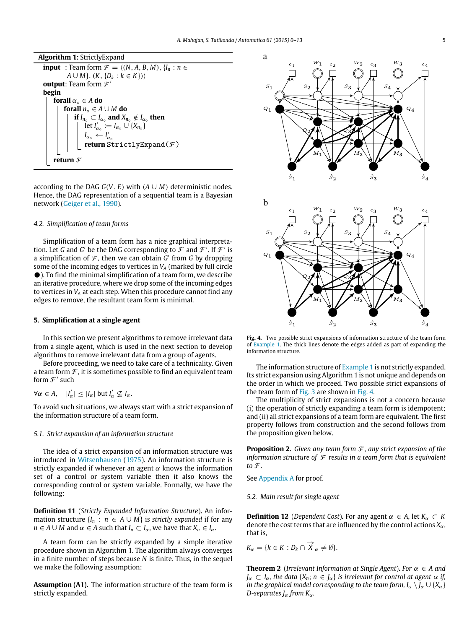**Algorithm 1:** StrictlyExpand **input** : Team form  $\mathcal{F} = \langle (N, A, B, M), \{I_n : n \in \mathcal{F}\}\rangle$ *A* ∪ *M*},  $(K, {D<sub>k</sub> : k ∈ K})$ **output**: Team form  $\mathcal{F}'$ **begin forall**  $\alpha_{\circ} \in A$  **do forall**  $n_{\circ} \in A \cup M$  **do if**  $I_{n_{\circ}} \subset I_{\alpha_{\circ}}$  and  $X_{n_{\circ}} \notin I_{\alpha_{\circ}}$  then  $\det I'_{\alpha} := I_{\alpha} \cup \{X_{n} \}$  $I_{\alpha} \leftarrow I'_{\alpha}$ **return** StrictlyExpand( $F$ ) **return** F

according to the DAG  $G(V, E)$  with  $(A \cup M)$  deterministic nodes. Hence, the DAG representation of a sequential team is a Bayesian network [\(Geiger et al., 1990\)](#page-12-11).

#### *4.2. Simplification of team forms*

Simplification of a team form has a nice graphical interpretation. Let *G* and *G'* be the DAG corresponding to  $\mathcal F$  and  $\mathcal F'$ . If  $\mathcal F'$  is a simplification of  $F$ , then we can obtain  $G'$  from  $G$  by dropping some of the incoming edges to vertices in *V<sup>A</sup>* (marked by full circle ). To find the minimal simplification of a team form, we describe an iterative procedure, where we drop some of the incoming edges to vertices in *V<sup>A</sup>* at each step. When this procedure cannot find any edges to remove, the resultant team form is minimal.

# <span id="page-5-0"></span>**5. Simplification at a single agent**

In this section we present algorithms to remove irrelevant data from a single agent, which is used in the next section to develop algorithms to remove irrelevant data from a group of agents.

Before proceeding, we need to take care of a technicality. Given a team form  $\mathcal F$ , it is sometimes possible to find an equivalent team form  $\mathcal{F}'$  such

$$
\forall \alpha \in A, \quad |I'_{\alpha}| \leq |I_{\alpha}| \text{ but } I'_{\alpha} \nsubseteq I_{\alpha}.
$$

To avoid such situations, we always start with a strict expansion of the information structure of a team form.

#### *5.1. Strict expansion of an information structure*

The idea of a strict expansion of an information structure was introduced in [Witsenhausen](#page-13-8) [\(1975\)](#page-13-8). An information structure is strictly expanded if whenever an agent  $\alpha$  knows the information set of a control or system variable then it also knows the corresponding control or system variable. Formally, we have the following:

**Definition 11** (*Strictly Expanded Information Structure*)**.** An information structure  $\{I_n : n \in A \cup M\}$  is *strictly expanded* if for any  $n \in A \cup M$  and  $\alpha \in A$  such that  $I_n \subset I_\alpha$ , we have that  $X_n \in I_\alpha$ .

A team form can be strictly expanded by a simple iterative procedure shown in Algorithm 1. The algorithm always converges in a finite number of steps because *N* is finite. Thus, in the sequel we make the following assumption:

**Assumption (A1).** The information structure of the team form is strictly expanded.

<span id="page-5-1"></span>

**Fig. 4.** Two possible strict expansions of information structure of the team form of [Example 1.](#page-0-3) The thick lines denote the edges added as part of expanding the information structure.

The information structure of [Example 1](#page-0-3) is not strictly expanded. Its strict expansion using Algorithm 1 is not unique and depends on the order in which we proceed. Two possible strict expansions of the team form of [Fig. 3](#page-4-3) are shown in [Fig. 4.](#page-5-1)

The multiplicity of strict expansions is not a concern because (i) the operation of strictly expanding a team form is idempotent; and (ii) all strict expansions of a team form are equivalent. The first property follows from construction and the second follows from the proposition given below.

<span id="page-5-3"></span>**Proposition 2.** *Given any team form* F *, any strict expansion of the information structure of*  $\mathcal F$  *results in a team form that is equivalent* to  $\mathcal{F}$ *.* 

See [Appendix A](#page-11-0) for proof.

#### *5.2. Main result for single agent*

**Definition 12** (*Dependent Cost*). For any agent  $\alpha \in A$ , let  $K_{\alpha} \subset K$ denote the cost terms that are influenced by the control actions  $X_\alpha$ , that is,

$$
K_{\alpha} = \{k \in K : D_k \cap \overrightarrow{X}_{\alpha} \neq \emptyset\}.
$$

<span id="page-5-2"></span>**Theorem 2** (*Irrelevant Information at Single Agent*). *For*  $\alpha \in A$  *and*  $J_{\alpha} \subset I_{\alpha}$ , the data { $X_n$ ;  $n \in J_{\alpha}$ } is irrelevant for control at agent  $\alpha$  if, *in the graphical model corresponding to the team form,*  $I_\alpha \setminus J_\alpha \cup \{X_\alpha\}$ *D-separates J*α *from K*α*.*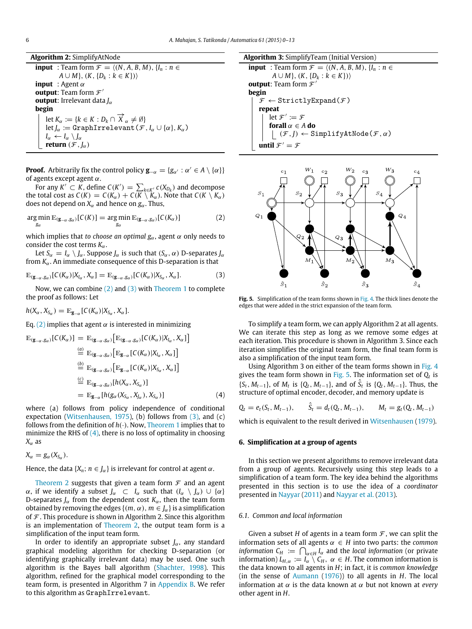**Algorithm 2:** SimplifyAtNode

**input** : Team form  $\mathcal{F} = \langle (N, A, B, M), \{I_n : n \in \mathcal{F}\}\rangle$  $A \cup M$ ,  $(K, \{D_k : k \in K\})$ **input** : Agent α **output**: Team form  $\mathcal{F}'$ **output**: Irrelevant data *J*α **begin** let  $K_{\alpha} := \{k \in K : D_k \cap \overrightarrow{X}_{\alpha} \neq \emptyset\}$  $\det J_{\alpha} := \texttt{GraphIrrelevant}(\mathcal{F}, I_{\alpha} \cup \{\alpha\}, K_{\alpha})$ *I*<sub>α</sub>  $\leftarrow$ *I*<sub>α</sub>  $\setminus$ *J*<sub>α</sub> **return**  $(\mathcal{F}, I_{\alpha})$ 

**Proof.** Arbitrarily fix the control policy  $\mathbf{g}_{-\alpha} = \{g_{\alpha'} : \alpha' \in A \setminus \{\alpha\}\}\$ of agents except agent  $\alpha$ .

For any  $K' \subset K$ , define  $C(K') = \sum_{k \in K'} c(X_{D_k})$  and decompose the total cost as  $C(K) = C(K_\alpha) + C(K \setminus K_\alpha)$ . Note that  $C(K \setminus K_\alpha)$ does not depend on  $X_\alpha$  and hence on  $g_\alpha$ . Thus,

$$
\underset{g_{\alpha}}{\arg\min} \mathbb{E}_{(\mathbf{g}_{-\alpha}, g_{\alpha})}[C(K)] = \underset{g_{\alpha}}{\arg\min} \mathbb{E}_{(\mathbf{g}_{-\alpha}, g_{\alpha})}[C(K_{\alpha})] \tag{2}
$$

which implies that *to choose an optimal*  $g_\alpha$ , agent  $\alpha$  only needs to consider the cost terms  $K_{\alpha}$ .

Let  $S_\alpha = I_\alpha \setminus J_\alpha$ . Suppose  $J_\alpha$  is such that  $(S_\alpha, \alpha)$  D-separates  $J_\alpha$ from  $K_{\alpha}$ . An immediate consequence of this D-separation is that

$$
\mathbb{E}_{(\mathbf{g}_{-\alpha},g_{\alpha})}[C(K_{\alpha})|X_{I_{\alpha}},X_{\alpha}]=\mathbb{E}_{(\mathbf{g}_{-\alpha},g_{\alpha})}[C(K_{\alpha})|X_{S_{\alpha}},X_{\alpha}].
$$
\n(3)

Now, we can combine [\(2\)](#page-6-1) and [\(3\)](#page-6-2) with [Theorem 1](#page-1-0) to complete the proof as follows: Let

$$
h(X_{\alpha}, X_{S_{\alpha}}) = \mathbb{E}_{\mathbf{g}_{-\alpha}}[C(K_{\alpha})|X_{S_{\alpha}}, X_{\alpha}].
$$

Eq. [\(2\)](#page-6-1) implies that agent  $\alpha$  is interested in minimizing

$$
\mathbb{E}_{(\mathbf{g}_{-\alpha}, g_{\alpha})}[C(K_{\alpha})] = \mathbb{E}_{(\mathbf{g}_{-\alpha}, g_{\alpha})}[\mathbb{E}_{(\mathbf{g}_{-\alpha}, g_{\alpha})}[C(K_{\alpha})|X_{l_{\alpha}}, X_{\alpha}]]
$$
\n
$$
\stackrel{(a)}{=} \mathbb{E}_{(\mathbf{g}_{-\alpha}, g_{\alpha})}[\mathbb{E}_{\mathbf{g}_{-\alpha}}[C(K_{\alpha})|X_{l_{\alpha}}, X_{\alpha}]]
$$
\n
$$
\stackrel{(b)}{=} \mathbb{E}_{(\mathbf{g}_{-\alpha}, g_{\alpha})}[\mathbb{E}_{\mathbf{g}_{-\alpha}}[C(K_{\alpha})|X_{S_{\alpha}}, X_{\alpha}]]
$$
\n
$$
\stackrel{(c)}{=} \mathbb{E}_{(\mathbf{g}_{-\alpha}, g_{\alpha})}[h(X_{\alpha}, X_{S_{\alpha}})]
$$
\n
$$
= \mathbb{E}_{\mathbf{g}_{-\alpha}}[h(g_{\alpha}(X_{S_{\alpha}}, X_{j_{\alpha}}), X_{S_{\alpha}})]
$$
\n(4)

where (a) follows from policy independence of conditional expectation [\(Witsenhausen, 1975\)](#page-13-8), (b) follows from [\(3\),](#page-6-2) and (c) follows from the definition of  $h(\cdot)$ . Now, [Theorem 1](#page-1-0) implies that to minimize the RHS of  $(4)$ , there is no loss of optimality in choosing  $X_{\alpha}$  as

$$
X_{\alpha}=g_{\alpha}(X_{S_{\alpha}}).
$$

Hence, the data  $\{X_n; n \in J_\alpha\}$  is irrelevant for control at agent  $\alpha$ .

[Theorem 2](#page-5-2) suggests that given a team form  $\mathcal F$  and an agent α, if we identify a subset  $J_\alpha$  ⊂  $I_\alpha$  such that  $(I_\alpha \setminus J_\alpha) \cup \{\alpha\}$ D-separates  $J_{\alpha}$  from the dependent cost  $K_{\alpha}$ , then the team form obtained by removing the edges  $\{(m, \alpha), m \in J_\alpha\}$  is a simplification of  $\mathcal F$ . This procedure is shown in Algorithm 2. Since this algorithm is an implementation of [Theorem 2,](#page-5-2) the output team form is a simplification of the input team form.

In order to identify an appropriate subset *J*α, any standard graphical modeling algorithm for checking D-separation (or identifying graphically irrelevant data) may be used. One such algorithm is the Bayes ball algorithm [\(Shachter, 1998\)](#page-13-12). This algorithm, refined for the graphical model corresponding to the team form, is presented in Algorithm 7 in [Appendix B.](#page-12-12) We refer to this algorithm as GraphIrrelevant.

**Algorithm 3:** SimplifyTeam (Initial Version)

**input** : Team form  $\mathcal{F} = \langle (N, A, B, M), \{I_n : n \in \mathcal{F}\}\rangle$ *A* ∪ *M*},  $(K, {D<sub>k</sub> : k ∈ K})$ **output**: Team form  $\mathcal{F}'$ **begin**  $\mathcal{F} \leftarrow$  Strictly Expand $(\mathcal{F})$ **repeat** let  $\mathcal{F}' \coloneqq \mathcal{F}$ **forall**  $\alpha \in A$  **do**  $| (\mathcal{F}, J) \leftarrow$  SimplifyAtNode( $\mathcal{F}, \alpha$ ) **until**  $\mathcal{F}' = \mathcal{F}$ 

<span id="page-6-4"></span><span id="page-6-1"></span>

<span id="page-6-2"></span>**Fig. 5.** Simplification of the team forms shown in [Fig. 4.](#page-5-1) The thick lines denote the edges that were added in the strict expansion of the team form.

To simplify a team form, we can apply Algorithm 2 at all agents. We can iterate this step as long as we remove some edges at each iteration. This procedure is shown in Algorithm 3. Since each iteration simplifies the original team form, the final team form is also a simplification of the input team form.

Using Algorithm 3 on either of the team forms shown in [Fig. 4](#page-5-1) gives the team form shown in [Fig. 5.](#page-6-4) The information set of *Q<sup>t</sup>* is {*S*<sup>*t*</sup>, *M*<sup>*t*</sup>−1}, of *M*<sup>*t*</sup> is {*Q<sub><i>t*</sub></sub>, *M*<sub>*t*−1</sub>}, and of  $\hat{S}_t$  is {*Q<sub>t</sub>*, *M*<sub>*t*−1</sub>}. Thus, the structure of optimal encoder, decoder, and memory update is

<span id="page-6-3"></span> $Q_t = e_t(S_t, M_{t-1}),$  $\hat{S}_t = d_t(Q_t, M_{t-1}), \qquad M_t = g_t(Q_t, M_{t-1})$ 

which is equivalent to the result derived in [Witsenhausen](#page-13-2) [\(1979\)](#page-13-2).

# <span id="page-6-0"></span>**6. Simplification at a group of agents**

In this section we present algorithms to remove irrelevant data from a group of agents. Recursively using this step leads to a simplification of a team form. The key idea behind the algorithms presented in this section is to use the idea of a *coordinator* presented in [Nayyar](#page-12-13) [\(2011\)](#page-12-13) and [Nayyar et al.](#page-12-0) [\(2013\)](#page-12-0).

#### *6.1. Common and local information*

Given a subset *H* of agents in a team form  $\mathcal F$ , we can split the information sets of all agents  $\alpha \in H$  into two parts: the *common information*  $C_H := \bigcap_{\alpha \in H} I_\alpha$  and the *local information* (or private information)  $L_{H,\alpha} := I_\alpha \setminus C_H$ ,  $\alpha \in H$ . The common information is the data known to all agents in *H*; in fact, it is *common knowledge* (in the sense of [Aumann](#page-12-14) [\(1976\)](#page-12-14)) to all agents in *H*. The local information at  $\alpha$  is the data known at  $\alpha$  but not known at *every* other agent in *H*.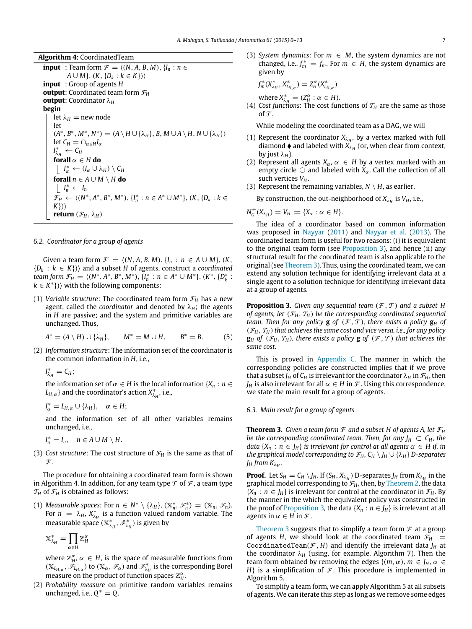**Algorithm 4:** CoordinatedTeam

**input** : Team form  $\mathcal{F} = \langle (N, A, B, M), \{I_n : n \in \mathcal{F}\}\rangle$  $A \cup M$ ,  $(K, \{D_k : k \in K\})$ **input** : Group of agents *H* **output**: Coordinated team form  $\mathcal{F}_H$ **output**: Coordinator λ*<sup>H</sup>* **begin** let  $\lambda_H$  = new node let  $(A^*, B^*, M^*, N^*) = (A \setminus H \cup \{\lambda_H\}, B, M \cup A \setminus H, N \cup \{\lambda_H\})$  $let C_H = \bigcap_{\alpha \in H} I_\alpha$  $I^*_{\lambda_H} \leftarrow C_H$ **forall**  $\alpha \in H$  **do**  $I_\alpha^* \leftarrow (I_\alpha \cup \lambda_H) \setminus C_H$ **forall**  $n \in A \cup M \setminus H$  **do**  $I_n^* \leftarrow I_n$ *F<sub>H</sub>* ←  $\langle (N^*, A^*, B^*, M^*)$ , { $I_n^* : n \in A^* \cup M^*$ }, (*K*, {*D<sub>k</sub>* : *k* ∈ *K*})⟩ **return**  $(\mathcal{F}_H, \lambda_H)$ 

# *6.2. Coordinator for a group of agents*

Given a team form  $\mathcal{F} = \langle (N, A, B, M), \{I_n : n \in A \cup M\}, (K, A) \rangle$ {*D<sup>k</sup>* : *k* ∈ *K*})⟩ and a subset *H* of agents, construct a *coordinated team form*  $\mathcal{F}_H = \langle (N^*, A^*, B^*, M^*) , \{I_n^* : n \in A^* \cup M^* \}, (K^*, \{D_k^* : n \in A^* \setminus M^* \}, \{I_n^* : n \in A^* \setminus M^* \} \rangle$  $k \in K^*$ }) $\rangle$  with the following components:

(1) *Variable structure*: The coordinated team form  $\mathcal{F}_H$  has a new agent, called the *coordinator* and denoted by  $\lambda_H$ ; the agents in *H* are passive; and the system and primitive variables are unchanged. Thus,

$$
A^* = (A \setminus H) \cup \{\lambda_H\}, \qquad M^* = M \cup H, \qquad B^* = B. \tag{5}
$$

(2) *Information structure*: The information set of the coordinator is the common information in *H*, i.e.,

 $I_{\lambda_H}^* = C_H$ ;

the information set of  $\alpha \in H$  is the local information  $\{X_n : n \in H\}$  $L_{H,\alpha}$ } and the coordinator's action  $X_{\lambda_H}^*$ , i.e.,

$$
I_{\alpha}^* = L_{H,\alpha} \cup \{\lambda_H\}, \quad \alpha \in H;
$$

and the information set of all other variables remains unchanged, i.e.,

- $I_n^* = I_n$ ,  $n \in A \cup M \setminus H$ .
- (3) *Cost structure*: The cost structure of  $\mathcal{F}_H$  is the same as that of  $\mathcal{F}$ .

The procedure for obtaining a coordinated team form is shown in Algorithm 4. In addition, for any team type  $\mathcal T$  of  $\mathcal F$ , a team type  $\mathcal{T}_H$  of  $\mathcal{F}_H$  is obtained as follows:

(1) *Measurable spaces:* For  $n \in N^* \setminus {\{\lambda_H\}}$ ,  $(\mathbb{X}_n^*, \mathscr{F}_n^*) = (\mathbb{X}_n, \mathscr{F}_n)$ . For  $n = \lambda_H$ ,  $X_{\lambda_H}^*$  is a function valued random variable. The measurable space ( $\mathbb{X}_{\lambda_{H}}^{*},$   $\mathscr{F}_{\lambda_{H}}^{*}$ ) is given by

$$
\mathbb{X}_{\lambda_H}^* = \prod_{\alpha \in H} \mathbb{Z}_H^\alpha
$$

where  $\mathbb{Z}_{H}^{\alpha}$ ,  $\alpha \in H$ , is the space of measurable functions from  $(\mathbb{X}_{L_{H,\alpha}}, \tilde{\mathscr{F}}_{L_{H,\alpha}})$  to  $(\mathbb{X}_{\alpha}, \mathscr{F}_{\alpha})$  and  $\mathscr{F}_{\lambda_H}^*$  is the corresponding Borel measure on the product of function spaces  $\mathbb{Z}_H^{\alpha}$ .

(2) *Probability measure* on primitive random variables remains unchanged, i.e.,  $Q^* = Q$ .

(3) *System dynamics*: For  $m \in M$ , the system dynamics are not changed, i.e.,  $f_m^* = f_m$ . For  $m \in H$ , the system dynamics are given by

$$
f_m^*(X_{\lambda_H}^*, X_{L_{H,\alpha}}^*) = Z_H^{\alpha}(X_{L_{H,\alpha}}^*)
$$

where  $X_{\lambda_H}^* = (Z_H^{\alpha} : \alpha \in H)$ .

(4) *Cost functions*: The cost functions of  $T_H$  are the same as those of  $\mathcal T$ .

While modeling the coordinated team as a DAG, we will

- (1) Represent the coordinator  $X_{\lambda_H}$ , by a vertex marked with full diamond  $\blacklozenge$  and labeled with  $X_{\lambda_H}$  (or, when clear from context, by just  $\lambda_H$ ).
- (2) Represent all agents  $X_\alpha$ ,  $\alpha \in H$  by a vertex marked with an empty circle  $\circ$  and labeled with *X<sub>α</sub>*. Call the collection of all such vertices  $V_H$ .
- (3) Represent the remaining variables,  $N \setminus H$ , as earlier.

By construction, the out-neighborhood of  $X_{\lambda_H}$  is  $V_H$ , i.e.,

$$
N_G^+(X_{\lambda_H})=V_H:=\{X_\alpha:\alpha\in H\}.
$$

The idea of a coordinator based on common information was proposed in [Nayyar](#page-12-13) [\(2011\)](#page-12-13) and [Nayyar et al.](#page-12-0) [\(2013\)](#page-12-0). The coordinated team form is useful for two reasons: (i) it is equivalent to the original team form (see [Proposition 3\)](#page-7-0), and hence (ii) any structural result for the coordinated team is also applicable to the original (see [Theorem 3\)](#page-7-1). Thus, using the coordinated team, we can extend any solution technique for identifying irrelevant data at a single agent to a solution technique for identifying irrelevant data at a group of agents.

<span id="page-7-0"></span>**Proposition 3.** Given any sequential team  $(\mathcal{F}, \mathcal{T})$  and a subset H *of agents, let*  $(\mathcal{F}_H, \mathcal{T}_H)$  *be the corresponding coordinated sequential team. Then for any policy* **g** *of*  $(F, T)$ *, there exists a policy* **g***H of*  $(\mathcal{F}_H, \mathcal{T}_H)$  that achieves the same cost and vice versa, i.e., for any policy  $\mathbf{g}_H$  of  $(\mathcal{F}_H, \mathcal{T}_H)$ , there exists a policy  $\mathbf{g}$  of  $(\mathcal{F}, \mathcal{T})$  that achieves the *same cost.*

This is proved in [Appendix C.](#page-12-15) The manner in which the corresponding policies are constructed implies that if we prove that a subset  $J_H$  of  $C_H$  is irrelevant for the coordinator  $\lambda_H$  in  $\mathcal{F}_H$ , then *J*<sup>*H*</sup> is also irrelevant for all  $\alpha \in H$  in *F*. Using this correspondence, we state the main result for a group of agents.

#### *6.3. Main result for a group of agents*

<span id="page-7-1"></span>**Theorem 3.** *Given a team form*  $\mathcal F$  *and a subset H of agents A, let*  $\mathcal F_H$ *be the corresponding coordinated team. Then, for any*  $J_H \subset C_H$ *, the data*  $\{X_n : n \in J_H\}$  *is irrelevant for control at all agents*  $\alpha \in H$  *if, in the graphical model corresponding to*  $\mathcal{F}_H$ ,  $C_H \setminus J_H \cup \{\lambda_H\}$  *D-separates*  $J_H$  from  $K_{\lambda_H}.$ 

**Proof.** Let  $S_H = C_H \setminus J_H$ . If  $(S_H, X_{\lambda_H})$  D-separates  $J_H$  from  $K_{\lambda_H}$  in the graphical model corresponding to  $\mathcal{F}_H$ , then, by [Theorem 2,](#page-5-2) the data  ${X_n : n \in J_H}$  is irrelevant for control at the coordinator in  $\mathcal{F}_H$ . By the manner in the which the equivalent policy was constructed in the proof of [Proposition 3,](#page-7-0) the data  $\{X_n : n \in J_H\}$  is irrelevant at all agents in  $\alpha \in H$  in  $\mathcal{F}$ .

[Theorem 3](#page-7-1) suggests that to simplify a team form  $\mathcal F$  at a group of agents *H*, we should look at the coordinated team  $\mathcal{F}_H$  = CoordinatedTeam( $F$ ,  $H$ ) and identify the irrelevant data  $J_H$  at the coordinator  $\lambda_H$  (using, for example, Algorithm 7). Then the team form obtained by removing the edges  $\{(m, \alpha), m \in J_H, \alpha \in$ *H*} is a simplification of  $F$ . This procedure is implemented in Algorithm 5.

To simplify a team form, we can apply Algorithm 5 at all subsets of agents. We can iterate this step as long as we remove some edges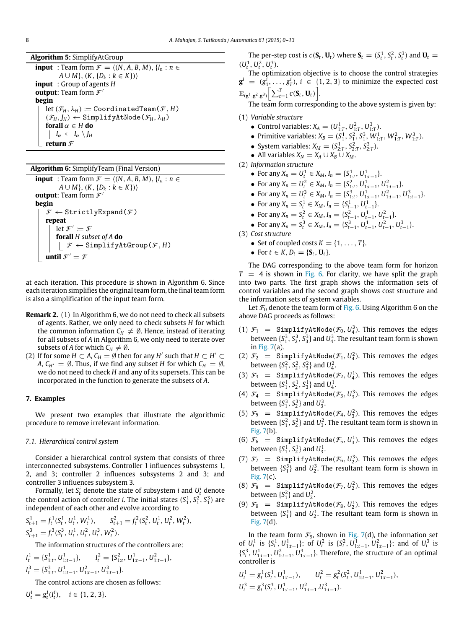**Algorithm 5:** SimplifyAtGroup

**input** : Team form  $\mathcal{F} = \langle (N, A, B, M), \{I_n : n \in \mathcal{F}\}\rangle$ *A* ∪ *M*},  $(K, {D<sub>k</sub> : k ∈ K})$ **input** : Group of agents *H* **output**: Team form  $\mathcal{F}'$ **begin** let  $(\mathcal{F}_H, \lambda_H) := \text{CoordinatedTeam}(\mathcal{F}, H)$  $(\mathcal{F}_H, J_H) \leftarrow$  SimplifyAtNode( $\mathcal{F}_H, \lambda_H$ ) **forall**  $\alpha \in H$  **do** *I*<sup>α</sup> ← *I*<sup>α</sup> \ *J<sup>H</sup>* **return**  $\mathcal{F}$ 

**Algorithm 6:** SimplifyTeam (Final Version) **input** : Team form  $\mathcal{F} = \langle (N, A, B, M), \{I_n : n \in \mathcal{F}\}$ *A* ∪ *M*},  $(K, {D<sub>k</sub> : k ∈ K})$ **output**: Team form  $\mathcal{F}'$ **begin**  $\mathcal{F} \leftarrow$  StrictlyExpand( $\mathcal{F}$ ) **repeat** let  $\mathcal{F}' \coloneqq \mathcal{F}$ **forall** *H subset of A* **do**  $\vert \mathcal{F} \leftarrow$  SimplifyAtGroup( $\mathcal{F}, H$ ) **until**  $\mathcal{F}' = \mathcal{F}$ 

at each iteration. This procedure is shown in Algorithm 6. Since each iteration simplifies the original team form, the final team form is also a simplification of the input team form.

- **Remark 2.** (1) In Algorithm 6, we do not need to check all subsets of agents. Rather, we only need to check subsets *H* for which the common information  $C_H \neq \emptyset$ . Hence, instead of iterating for all subsets of *A* in Algorithm 6, we only need to iterate over subsets of *A* for which  $C_H \neq \emptyset$ .
- (2) If for some  $H \subset A$ ,  $C_H = \emptyset$  then for any  $H'$  such that  $H \subset H' \subset$ *A*,  $C_{H'} = \emptyset$ . Thus, if we find any subset *H* for which  $C_H = \emptyset$ , we do not need to check *H* and any of its supersets. This can be incorporated in the function to generate the subsets of *A*.

#### <span id="page-8-0"></span>**7. Examples**

We present two examples that illustrate the algorithmic procedure to remove irrelevant information.

### *7.1. Hierarchical control system*

Consider a hierarchical control system that consists of three interconnected subsystems. Controller 1 influences subsystems 1, 2, and 3; controller 2 influences subsystems 2 and 3; and controller 3 influences subsystem 3.

Formally, let  $S_t^i$  denote the state of subsystem *i* and  $U_t^i$  denote the control action of controller *i*. The initial states  $(S_1^1, S_1^2, S_1^3)$  are independent of each other and evolve according to

$$
S_{t+1}^1 = f_t^1(S_t^1, U_t^1, W_t^1), \qquad S_{t+1}^2 = f_t^2(S_t^2, U_t^1, U_t^2, W_t^2),
$$
  
\n
$$
S_{t+1}^3 = f_t^3(S_t^3, U_t^1, U_t^2, U_t^3, W_t^2).
$$

The information structures of the controllers are:

$$
I_t^1 = \{S_{1:t}^1, U_{1:t-1}^1\}, \qquad I_t^2 = \{S_{1:t}^2, U_{1:t-1}^1, U_{1:t-1}^2\},
$$
  

$$
I_t^3 = \{S_{1:t}^3, U_{1:t-1}^1, U_{1:t-1}^2, U_{1:t-1}^3\}.
$$

The control actions are chosen as follows:

 $U_t^i = g_t^i(I_t^i), \quad i \in \{1, 2, 3\}.$ 

The per-step cost is  $c(\mathbf{S}_t, \mathbf{U}_t)$  where  $\mathbf{S}_t = (S_t^1, S_t^2, S_t^3)$  and  $\mathbf{U}_t =$  $(U_t^1, U_t^2, U_t^3)$ .

The optimization objective is to choose the control strategies  $\mathbf{g}^i = (g_1^i, \ldots, g_T^i)$ ,  $i \in \{1, 2, 3\}$  to minimize the expected cost  $\mathbb{E}_{(\mathbf{g}^1, \mathbf{g}^2, \mathbf{g}^3)}\bigg[\sum_{t=1}^T c(\mathbf{S}_t, \mathbf{U}_t)\bigg].$ 

The team form corresponding to the above system is given by:

(1) *Variable structure*

- Control variables:  $X_A = (U_{1:T}^1, U_{1:T}^2, U_{1:T}^3)$ .
- Primitive variables:  $X_B = (S_1^1, S_1^2, S_1^3, W_{1:T}^1, W_{1:T}^2, W_{1:T}^3)$ .
- System variables:  $X_M = (S^1_{2:T}, S^2_{2:T}, S^3_{2:T})$ .
- All variables  $X_N = X_A \cup X_B \cup X_M$ .
- (2) *Information structure*
	- For any  $X_n = U_t^1 \in X_M$ ,  $I_n = \{S_{1:t}^1, U_{1:t-1}^1\}$ .
	- For any  $X_n = U_t^2 \in X_M$ ,  $I_n = \{S_{1:t}^2, U_{1:t-1}^1, U_{1:t-1}^2\}$ .
	- For any  $X_n = U_t^3 \in X_M$ ,  $I_n = \{S_{1:t}^3, U_{1:t-1}^1, U_{1:t-1}^2, U_{1:t-1}^3\}$ .
	- For any  $X_n = S_t^1 \in X_M$ ,  $I_n = \{S_{t-1}^1, U_{t-1}^1\}$ .
	- For any  $X_n = S_t^2 \in X_M$ ,  $I_n = \{S_{t-1}^2, U_{t-1}^1, U_{t-1}^2\}$ .
	- For any  $X_n = S_t^3 \in X_M$ ,  $I_n = \{S_{t-1}^3, U_{t-1}^1, U_{t-1}^2, U_{t-1}^3\}$ .

(3) *Cost structure*

- Set of coupled costs  $K = \{1, \ldots, T\}.$
- For  $t \in K$ ,  $D_t = \{S_t, U_t\}$ .

The DAG corresponding to the above team form for horizon  $T = 4$  is shown in [Fig. 6.](#page-9-1) For clarity, we have split the graph into two parts. The first graph shows the information sets of control variables and the second graph shows cost structure and the information sets of system variables.

Let  $\mathcal{F}_0$  denote the team form of [Fig. 6.](#page-9-1) Using Algorithm 6 on the above DAG proceeds as follows:

- (1)  $\mathcal{F}_1$  = SimplifyAtNode( $\mathcal{F}_0$ ,  $U_4^3$ ). This removes the edges between  $\{S_1^3, S_2^3, S_3^3\}$  and  $U_4^3$ . The resultant team form is shown in [Fig. 7\(](#page-10-0)a).
- (2)  $\mathcal{F}_2$  = SimplifyAtNode( $\mathcal{F}_1, U_4^2$ ). This removes the edges between  $\{S_1^2, S_2^2, S_3^2\}$  and  $U_4^2$ .
- (3)  $\mathcal{F}_3$  = SimplifyAtNode( $\mathcal{F}_2$ ,  $U_4^1$ ). This removes the edges between  $\{S_1^1, S_2^1, S_3^1\}$  and  $U_4^1$ .
- (4)  $\mathcal{F}_4$  = SimplifyAtNode( $\mathcal{F}_3$ ,  $U_3^3$ ). This removes the edges between  $\{S_1^3, S_2^3\}$  and  $U_3^3$ .
- (5)  $\mathcal{F}_5$  = SimplifyAtNode( $\mathcal{F}_4$ ,  $U_3^2$ ). This removes the edges between  $\{S_1^2, S_2^2\}$  and  $U_3^2$ . The resultant team form is shown in [Fig. 7\(](#page-10-0)b).
- (6)  $\mathcal{F}_6$  = SimplifyAtNode( $\mathcal{F}_5$ ,  $U_3^1$ ). This removes the edges between  $\{S_1^1, S_2^1\}$  and  $U_3^1$ .
- (7)  $\mathcal{F}_7$  = SimplifyAtNode( $\mathcal{F}_6$ ,  $U_2^3$ ). This removes the edges between  $\{S_1^3\}$  and  $U_2^3$ . The resultant team form is shown in [Fig. 7\(](#page-10-0)c).
- (8)  $\mathcal{F}_8$  = SimplifyAtNode( $\mathcal{F}_7, U_2^2$ ). This removes the edges between  $\{S_1^2\}$  and  $U_2^2$ .
- (9)  $\mathcal{F}_9$  = SimplifyAtNode( $\mathcal{F}_8$ ,  $U_2^1$ ). This removes the edges between  $\{S_1^1\}$  and  $U_2^1$ . The resultant team form is shown in [Fig. 7\(](#page-10-0)d).

In the team form  $\mathcal{F}_9$ , shown in [Fig. 7\(](#page-10-0)d), the information set of  $U_t^1$  is  $\{S_t^1, U_{1:t-1}^1\}$ ; of  $U_t^2$  is  $\{S_t^2, U_{1:t-1}^1, U_{1:t-1}^2\}$ ; and of  $U_t^3$  is  ${S_t^3, U_{1:t-1}^1, U_{1:t-1}^2, U_{1:t-1}^3}$ . Therefore, the structure of an optimal controller is

$$
U_t^1 = g_t^1(S_t^1, U_{1:t-1}^1), \qquad U_t^2 = g_t^2(S_t^2, U_{1:t-1}^1, U_{1:t-1}^2),
$$
  

$$
U_t^3 = g_t^3(S_t^3, U_{1:t-1}^1, U_{1:t-1}^2, U_{1:t-1}^3).
$$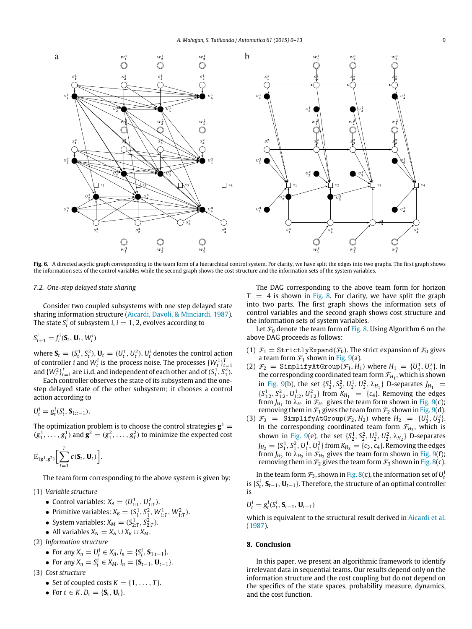<span id="page-9-1"></span>

Fig. 6. A directed acyclic graph corresponding to the team form of a hierarchical control system. For clarity, we have split the edges into two graphs. The first graph shows the information sets of the control variables while the second graph shows the cost structure and the information sets of the system variables.

#### *7.2. One-step delayed state sharing*

Consider two coupled subsystems with one step delayed state sharing information structure [\(Aicardi, Davoli, & Minciardi, 1987\)](#page-12-16). The state  $S_t^i$  of subsystem *i*,  $i=1,2$ , evolves according to

$$
S_{t+1}^i = f_t^i(\mathbf{S}_t, \mathbf{U}_t, W_t^i)
$$

where  $\mathbf{S}_t = (S_t^1, S_t^2), \mathbf{U}_t = (U_t^1, U_t^2), U_t^i$  denotes the control action of controller *i* and  $W_t^i$  is the process noise. The processes  $\{W_t^1\}_{t=1}^T$ <br>and  $\{W_t^2\}_{t=1}^T$  are i.i.d. and independent of each other and of  $(S_1^1, S_1^2)$ .

Each controller observes the state of its subsystem and the onestep delayed state of the other subsystem; it chooses a control action according to

$$
U_t^i = g_t^i(S_t^i, \mathbf{S}_{1:t-1}).
$$

The optimization problem is to choose the control strategies  $\mathbf{g}^1 =$  $(g_1^1, \ldots, g_T^1)$  and  $\mathbf{g}^2 = (g_1^2, \ldots, g_T^2)$  to minimize the expected cost

$$
\mathbb{E}_{(\mathbf{g}^1, \mathbf{g}^2)} \bigg[ \sum_{t=1}^T c(\mathbf{S}_t, \mathbf{U}_t) \bigg].
$$

The team form corresponding to the above system is given by:

(1) *Variable structure*

- Control variables:  $X_A = (U_{1:T}^1, U_{1:T}^2)$ .
- Primitive variables:  $X_B = (S_1^1, S_1^2, W_{1:T}^1, W_{1:T}^2)$ .
- System variables:  $X_M = (S^1_{2:T}, S^2_{2:T})$ .
- All variables  $X_N = X_A \cup X_B \cup X_M$ .

(2) *Information structure*

- For any  $X_n = U_t^i \in X_A$ ,  $I_n = \{S_t^i, S_{1:t-1}\}.$
- For any  $X_n = S_t^i \in X_M$ ,  $I_n = \{S_{t-1}, \mathbf{U}_{t-1}\}.$
- (3) *Cost structure*
	- Set of coupled costs  $K = \{1, \ldots, T\}.$
	- For  $t \in K$ ,  $D_t = \{S_t, U_t\}$ .

The DAG corresponding to the above team form for horizon  $T = 4$  is shown in [Fig. 8.](#page-10-1) For clarity, we have split the graph into two parts. The first graph shows the information sets of control variables and the second graph shows cost structure and the information sets of system variables.

Let  $\mathcal{F}_0$  denote the team form of [Fig. 8.](#page-10-1) Using Algorithm 6 on the above DAG proceeds as follows:

- (1)  $\mathcal{F}_1 = \text{StrictlyExpand}(\mathcal{F}_0)$ . The strict expansion of  $\mathcal{F}_0$  gives a team form  $\mathcal{F}_1$  shown in [Fig. 9\(](#page-11-1)a).
- (2)  $\mathcal{F}_2$  = SimplifyAtGroup( $\mathcal{F}_1$ ,  $H_1$ ) where  $H_1 = \{U_4^1, U_4^2\}$ . In the corresponding coordinated team form  $\mathcal{F}_{H_1}$ , which is shown in [Fig. 9\(](#page-11-1)b), the set  $\{S_3^1, S_3^2, U_3^1, U_3^2, \lambda_{H_1}\}\)$  D-separates  $J_{H_1}$  =  ${S}_{1:2}^1, {S}_{1:2}^2, {U}_{1:2}^1, {U}_{1:2}^2\}$  from  $K_{H_1} = {c_4}$ . Removing the edges from  $J_{H_1}$  to  $\lambda_{H_1}$  in  $\mathcal{F}_{H_1}$  gives the team form shown in [Fig. 9\(](#page-11-1)c); removing them in  $\mathcal{F}_1$  gives the team form  $\mathcal{F}_2$  shown in [Fig. 9\(](#page-11-1)d).
- (3)  $\mathcal{F}_3$  = SimplifyAtGroup( $\mathcal{F}_2$ ,  $H_2$ ) where  $H_2$  = { $U_3^1, U_3^2$ }. In the corresponding coordinated team form  $\mathcal{F}_{H_3}$ , which is shown in [Fig. 9\(](#page-11-1)e), the set  $\{S_2^1, S_2^2, U_2^1, U_2^2, \lambda_{H_2}\}\)$  D-separates  $J_{H_2} = \{S_1^1, S_1^2, U_1^1, U_1^2\}$  from  $K_{H_3} = \{c_3, c_4\}$ . Removing the edges from  $J_{H_2}$  to  $\lambda_{H_2}$  in  $\mathcal{F}_{H_2}$  gives the team form shown in [Fig. 9\(](#page-11-1)f); removing them in  $\mathcal{F}_2$  gives the team form  $\mathcal{F}_3$  shown in [Fig. 8\(](#page-10-1)c).

In the team form  $\mathcal{F}_3$ , shown in [Fig. 8\(](#page-10-1)c), the information set of  $U_t^i$ is  $\{S_t^i, S_{t-1}, U_{t-1}\}$ . Therefore, the structure of an optimal controller is

$$
U_t^i = g_t^i(S_t^i, \mathbf{S}_{t-1}, \mathbf{U}_{t-1})
$$

which is equivalent to the structural result derived in [Aicardi et al.](#page-12-16) [\(1987\)](#page-12-16).

#### <span id="page-9-0"></span>**8. Conclusion**

In this paper, we present an algorithmic framework to identify irrelevant data in sequential teams. Our results depend only on the information structure and the cost coupling but do not depend on the specifics of the state spaces, probability measure, dynamics, and the cost function.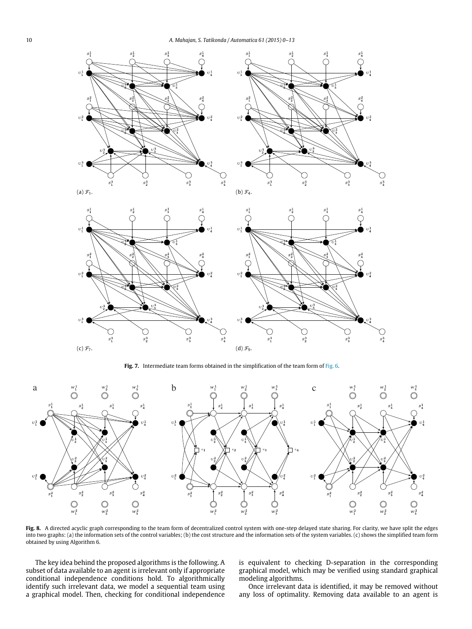<span id="page-10-0"></span>

Fig. 7. Intermediate team forms obtained in the simplification of the team form of [Fig. 6.](#page-9-1)

<span id="page-10-1"></span>

**Fig. 8.** A directed acyclic graph corresponding to the team form of decentralized control system with one-step delayed state sharing. For clarity, we have split the edges into two graphs: (a) the information sets of the control variables; (b) the cost structure and the information sets of the system variables. (c) shows the simplified team form obtained by using Algorithm 6.

The key idea behind the proposed algorithms is the following. A subset of data available to an agent is irrelevant only if appropriate conditional independence conditions hold. To algorithmically identify such irrelevant data, we model a sequential team using a graphical model. Then, checking for conditional independence is equivalent to checking D-separation in the corresponding graphical model, which may be verified using standard graphical modeling algorithms.

Once irrelevant data is identified, it may be removed without any loss of optimality. Removing data available to an agent is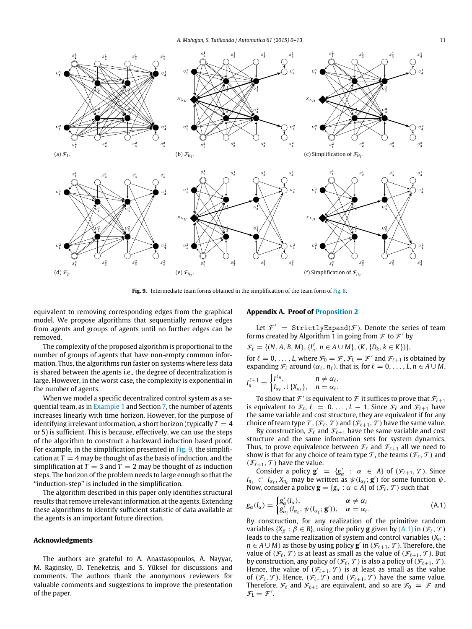<span id="page-11-1"></span>

Fig. 9. Intermediate team forms obtained in the simplification of the team form of [Fig. 8.](#page-10-1)

equivalent to removing corresponding edges from the graphical model. We propose algorithms that sequentially remove edges from agents and groups of agents until no further edges can be removed.

The complexity of the proposed algorithm is proportional to the number of groups of agents that have non-empty common information. Thus, the algorithms run faster on systems where less data is shared between the agents i.e., the degree of decentralization is large. However, in the worst case, the complexity is exponential in the number of agents.

When we model a specific decentralized control system as a sequential team, as in [Example 1](#page-0-3) and Section [7,](#page-8-0) the number of agents increases linearly with time horizon. However, for the purpose of identifying irrelevant information, a short horizon (typically  $T = 4$ ) or 5) is sufficient. This is because, effectively, we can use the steps of the algorithm to construct a backward induction based proof. For example, in the simplification presented in [Fig. 9,](#page-11-1) the simplification at  $T = 4$  may be thought of as the basis of induction, and the simplification at  $T = 3$  and  $T = 2$  may be thought of as induction steps. The horizon of the problem needs to large enough so that the ''induction-step'' is included in the simplification.

The algorithm described in this paper only identifies structural results that remove irrelevant information at the agents. Extending these algorithms to identify sufficient statistic of data available at the agents is an important future direction.

### **Acknowledgments**

The authors are grateful to A. Anastasopoulos, A. Nayyar, M. Raginsky, D. Teneketzis, and S. Yüksel for discussions and comments. The authors thank the anonymous reviewers for valuable comments and suggestions to improve the presentation of the paper.

# <span id="page-11-0"></span>**Appendix A. Proof of [Proposition 2](#page-5-3)**

Let  $\mathcal{F}' =$  Strictly Expand( $\mathcal{F}$ ). Denote the series of team forms created by Algorithm 1 in going from  $\mathcal F$  to  $\mathcal F'$  by

$$
\mathcal{F}_{\ell} = \{ (N, A, B, M), \{ I_n^{\ell}, n \in A \cup M \}, (K, \{ D_k, k \in K \}) \},\
$$

for  $\ell = 0, \ldots, L$ , where  $\mathcal{F}_0 = \mathcal{F}$ ,  $\mathcal{F}_L = \mathcal{F}'$  and  $\mathcal{F}_{\ell+1}$  is obtained by expanding  $\mathcal{F}_{\ell}$  around  $(\alpha_{\ell}, n_{\ell})$ , that is, for  $\ell = 0, \ldots, L, n \in A \cup M$ ,

$$
I_n^{\ell+1} = \begin{cases} I^{\ell_n}, & n \neq \alpha_\ell, \\ I_{\alpha_\ell} \cup \{X_{n_\ell}\}, & n = \alpha_\ell. \end{cases}
$$

To show that  $\mathcal{F}'$  is equivalent to  $\mathcal F$  it suffices to prove that  $\mathcal F_{\ell+1}$ is equivalent to  $\mathcal{F}_{\ell}$ ,  $\ell = 0, \ldots, L - 1$ . Since  $\mathcal{F}_{\ell}$  and  $\mathcal{F}_{\ell+1}$  have the same variable and cost structure, they are equivalent if for any choice of team type  $\mathcal{T}$ ,  $(\mathcal{F}_{\ell}, \mathcal{T})$  and  $(\mathcal{F}_{\ell+1}, \mathcal{T})$  have the same value.

By construction,  $\mathcal{F}_{\ell}$  and  $\mathcal{F}_{\ell+1}$  have the same variable and cost structure and the same information sets for system dynamics. Thus, to prove equivalence between  $\mathcal{F}_{\ell}$  and  $\mathcal{F}_{\ell+1}$  all we need to show is that for any choice of team type  $\mathcal T$ , the teams  $(\mathcal F_\ell, \mathcal T)$  and  $(\mathcal{F}_{\ell+1}, \mathcal{T})$  have the value.

Consider a policy  $\mathbf{g}' = \{g'_\alpha : \alpha \in A\}$  of  $(\mathcal{F}_{\ell+1}, \mathcal{T})$ . Since *I*<sup>n<sub>ℓ</sub>  $\subset I_{\alpha_{\ell}}$ , *X*<sub>*n*ℓ</sub> may be written as  $\psi(I_{\alpha_{\ell}}; \mathbf{g}')$  for some function  $\psi$ .</sup> Now, consider a policy  $\mathbf{g} = \{g_{\alpha} : \alpha \in A\}$  of  $(\mathcal{F}_{\ell}, \mathcal{T})$  such that

<span id="page-11-2"></span>
$$
g_{\alpha}(I_{\alpha}) = \begin{cases} g'_{\alpha}(I_{\alpha}), & \alpha \neq \alpha_{\ell} \\ g'_{\alpha_{\ell}}(I_{\alpha_{\ell}}, \psi(I_{\alpha_{\ell}}; \mathbf{g}')), & \alpha = \alpha_{\ell}. \end{cases}
$$
(A.1)

By construction, for any realization of the primitive random variables  $\{X_\beta : \beta \in B\}$ , using the policy **g** given by  $(A,1)$  in  $(\mathcal{F}_\ell, \mathcal{T})$ leads to the same realization of system and control variables (*X<sup>n</sup>* :  $n \in A \cup M$ ) as those by using policy  $\mathbf{g}'$  in  $(\mathcal{F}_{\ell+1}, \mathcal{T})$ . Therefore, the value of  $(\mathcal{F}_{\ell}, \mathcal{T})$  is at least as small as the value of  $(\mathcal{F}_{\ell+1}, \mathcal{T})$ . But by construction, any policy of  $(\mathcal{F}_{\ell}, \mathcal{T})$  is also a policy of  $(\mathcal{F}_{\ell+1}, \mathcal{T})$ . Hence, the value of  $(\mathcal{F}_{\ell+1}, \mathcal{T})$  is at least as small as the value of  $(\mathcal{F}_{\ell}, \mathcal{T})$ . Hence,  $(\mathcal{F}_{\ell}, \mathcal{T})$  and  $(\mathcal{F}_{\ell+1}, \mathcal{T})$  have the same value. Therefore,  $\mathcal{F}_{\ell}$  and  $\mathcal{F}_{\ell+1}$  are equivalent, and so are  $\mathcal{F}_{0} = \mathcal{F}$  and  $\mathcal{F}_L = \mathcal{F}'$ .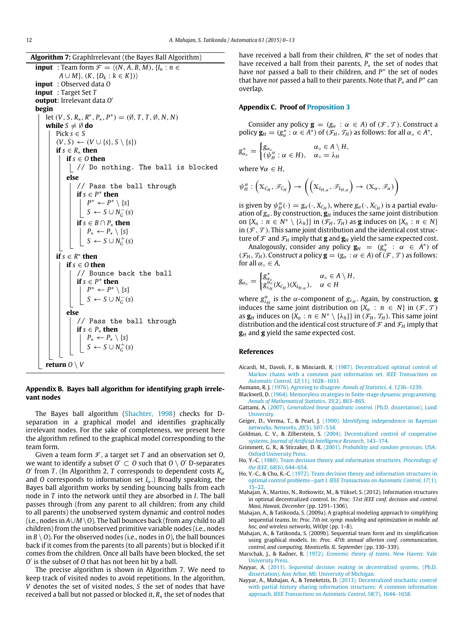**Algorithm 7:** GraphIrrelevant (the Bayes Ball Algorithm)

**input** : Team form  $\mathcal{F} = \langle (N, A, B, M), \{I_n : n \in \mathcal{F} \rangle\}$  $A \cup M$ ,  $(K, \{D_k : k \in K\})$ **input** : Observed data *O* **input** : Target Set *T* **output**: Irrelevant data *O* ′ **begin** let  $(V, S, R_*, R^*, P_*, P^*) = (\emptyset, T, T, \emptyset, N, N)$ **while**  $S \neq \emptyset$  **do** Pick  $s \in S$  $(V, S)$  ←  $(V \cup \{s\}, S \setminus \{s\})$ **if** *s* ∈ *R*<sup>∗</sup> **then if** *s* ∈ *O* **then** | // Do nothing. The ball is blocked **else** // Pass the ball through **if**  $s$  ∈  $P$ <sup>\*</sup> **then** *P*<sup>\*</sup> ← *P*<sup>\*</sup>  $\setminus$  {*s*}  $S \leftarrow S \cup N_G^-(s)$ **if**  $s \in B \cap P_*$  **then**  $P_* \leftarrow P_* \setminus \{s\}$  $S \leftarrow S \cup N_G^+(s)$ **if**  $s \in R^*$  **then if**  $s \in O$  **then** // Bounce back the ball **if**  $s$  ∈  $P$ <sup>\*</sup> **then** *P*<sup>\*</sup> ← *P*<sup>\*</sup>  $\setminus$  {*s*}  $S \leftarrow S \cup N_G^-(s)$ **else** // Pass the ball through **if** *s* ∈ *P*<sup>∗</sup> **then** *P*<sup>∗</sup> ← *P*<sup>∗</sup>  $\setminus$  {*s*}  $S \leftarrow S \cup N_G^+(s)$ **return**  $O \setminus V$ 

# <span id="page-12-12"></span>**Appendix B. Bayes ball algorithm for identifying graph irrelevant nodes**

The Bayes ball algorithm [\(Shachter, 1998\)](#page-13-12) checks for Dseparation in a graphical model and identifies graphically irrelevant nodes. For the sake of completeness, we present here the algorithm refined to the graphical model corresponding to the team form.

Given a team form  $\mathcal F$ , a target set  $T$  and an observation set  $O$ , we want to identify a subset  $O^{'} \subset O$  such that  $O \setminus O'$  D-separates *O* ′ from *T* . (In Algorithm 2, *T* corresponds to dependent costs *K*α and *O* corresponds to information set  $I_{\alpha}$ .) Broadly speaking, the Bayes ball algorithm works by sending bouncing balls from each node in *T* into the network until they are absorbed in *I*. The ball passes through (from any parent to all children; from any child to all parents) the unobserved system dynamic and control nodes (i.e., nodes in *A*∪*M* \*O*). The ball bounces back (from any child to all children) from the unobserved primitive variable nodes (i.e., nodes in  $B \setminus O$ ). For the observed nodes (i.e., nodes in *O*), the ball bounces back if it comes from the parents (to all parents) but is blocked if it comes from the children. Once all balls have been blocked, the set *O* ′ is the subset of *O* that has not been hit by a ball.

The precise algorithm is shown in Algorithm 7. We need to keep track of visited nodes to avoid repetitions. In the algorithm, *V* denotes the set of visited nodes, *S* the set of nodes that have received a ball but not passed or blocked it, *R*∗ the set of nodes that have received a ball from their children,  $R^*$  the set of nodes that have received a ball from their parents, *P*∗ the set of nodes that have *not* passed a ball to their children, and *P*<sup>∗</sup> the set of nodes that have *not* passed a ball to their parents. Note that  $P_*$  and  $P^*$  can overlap.

# <span id="page-12-15"></span>**Appendix C. Proof of [Proposition 3](#page-7-0)**

Consider any policy  $\mathbf{g} = (g_{\alpha} : \alpha \in A)$  of  $(\mathcal{F}, \mathcal{T})$ . Construct a policy  $\mathbf{g}_H = (\mathbf{g}_{\alpha}^* : \alpha \in A^*)$  of  $(\mathcal{F}_H, \mathcal{T}_H)$  as follows: for all  $\alpha_{\circ} \in A^*$ ,

$$
g_{\alpha_{\circ}}^{*} = \begin{cases} g_{\alpha_{\circ}} & \alpha_{\circ} \in A \setminus H, \\ (\psi_{H}^{\alpha} : \alpha \in H), & \alpha_{\circ} = \lambda_{H} \end{cases}
$$

where  $\forall \alpha \in H$ ,

$$
\psi_H^{\alpha}: (\mathbb{X}_{C_H}, \mathscr{F}_{C_H}) \to ((\mathbb{X}_{L_{H,\alpha}}, \mathscr{F}_{L_{H,\alpha}}) \to (\mathbb{X}_{\alpha}, \mathscr{F}_{\alpha}))
$$

is given by  $\psi_H^{\alpha}(\cdot) = g_{\alpha}(\cdot, X_{C_H})$ , where  $g_{\alpha}(\cdot, X_{C_H})$  is a partial evaluation of  $g_\alpha$ . By construction,  $g_H$  induces the same joint distribution on  $\{X_n : n \in \mathbb{N}^* \setminus \{\lambda_h\}\}\$ in  $(\mathcal{F}_H, \mathcal{T}_H)$  as **g** induces on  $\{X_n : n \in \mathbb{N}\}\$ in  $(\mathcal{F}, \mathcal{T})$ . This same joint distribution and the identical cost structure of  $\mathcal F$  and  $\mathcal F_H$  imply that **g** and  $\mathbf g_H$  yield the same expected cost.

Analogously, consider any policy  $\mathbf{g}_H = (\mathbf{g}_{\alpha}^* : \alpha \in A^*)$  of  $(\mathcal{F}_H, \mathcal{T}_H)$ . Construct a policy  $\mathbf{g} = (g_\alpha : \alpha \in A)$  of  $(\mathcal{F}, \mathcal{T})$  as follows: for all  $\alpha_{\circ} \in A$ ,

$$
g_{\alpha_{\circ}} = \begin{cases} g_{\alpha_{\circ}}^{*} & \alpha_{\circ} \in A \setminus H, \\ g_{\lambda_{H}}^{\alpha_{\circ}}(X_{C_{H}})(X_{L_{H,\alpha}}), & \alpha \in H \end{cases}
$$

where  $g_{\lambda_H}^{\alpha}$  is the  $\alpha$ -component of  $g_{\lambda_H}$ . Again, by construction, **g** induces the same joint distribution on  $\{X_n : n \in N\}$  in  $(\mathcal{F}, \mathcal{T})$ as  $\mathbf{g}_H$  induces on  $\{X_n : n \in \mathbb{N}^* \setminus \{\lambda_h\}\}\$ in  $(\mathcal{F}_H, \mathcal{T}_H)$ . This same joint distribution and the identical cost structure of  $\mathcal F$  and  $\mathcal F_H$  imply that **g***<sup>H</sup>* and **g** yield the same expected cost.

#### **References**

- <span id="page-12-16"></span>Aicardi, M., Davoli, F., & Minciardi, R. (1987). Decentralized optimal control of Ma[rkov chains with a common past information set.](http://refhub.elsevier.com/S0005-1098(15)00321-0/sbref1) *IEEE Transactions on Automatic Control*, *32*(11), 1028–1031.
- <span id="page-12-14"></span>Aumann, R. J. [\(1976\). Agreeing to disagree.](http://refhub.elsevier.com/S0005-1098(15)00321-0/sbref2) *Annals of Statistics*, *4*, 1236–1239.
- <span id="page-12-3"></span>Blackwell, D. [\(1964\). Memoryless strategies in finite-stage dynamic programming.](http://refhub.elsevier.com/S0005-1098(15)00321-0/sbref3) *Annals of Mathematical Statistics*, *35*(2), 863–865.
- <span id="page-12-7"></span>Gattami, A. (2007). *[Generalized linear quadratic control](http://refhub.elsevier.com/S0005-1098(15)00321-0/sbref4)*. (Ph.D. dissertation), Lund University.
- <span id="page-12-11"></span>Geiger, D., Verma, T., & Pearl, J. [\(1990\). Identifying independence in Bayesian](http://refhub.elsevier.com/S0005-1098(15)00321-0/sbref5) networks. *Networks*, *20*(5), 507–534.
- <span id="page-12-10"></span>Goldman, C. V., & Zilberstein, S. [\(2004\). Decentralized control of cooperative](http://refhub.elsevier.com/S0005-1098(15)00321-0/sbref6) systems. *Journal of Artificial Intelligence Research*, 143–174.
- <span id="page-12-9"></span>Grimmett, G. R., & Stirzaker, D. R. (2001). *[Probability and random processes](http://refhub.elsevier.com/S0005-1098(15)00321-0/sbref7)*. USA: Oxford University Press.
- <span id="page-12-5"></span>Ho, Y.-C. [\(1980\). Team decision theory and information structures.](http://refhub.elsevier.com/S0005-1098(15)00321-0/sbref8) *Proceedings of the IEEE*, *68*(6), 644–654.
- <span id="page-12-8"></span>Ho, Y.-C., & Chu, K.-C. [\(1972\). Team decision theory and information structures in](http://refhub.elsevier.com/S0005-1098(15)00321-0/sbref9) optimal control problems—part I. *IEEE Transactions on Automatic Control*, *17*(1),  $15-2$
- <span id="page-12-6"></span>Mahajan, A., Martins, N., Rotkowitz, M., & Yüksel, S. (2012). Information structures in optimal decentralized control. In: *Proc. 51st IEEE conf. decision and control. Maui, Hawaii, December* (pp. 1291–1306).
- <span id="page-12-1"></span>Mahajan, A., & Tatikonda, S. (2009a). A graphical modeling approach to simplifying sequential teams. In: *Proc. 7th int. symp. modeling and optimization in mobile. ad hoc, and wireless networks, WiOpt* (pp. 1–8).
- <span id="page-12-2"></span>Mahajan, A., & Tatikonda, S. (2009b). Sequential team form and its simplification using graphical models. In: *Proc. 47th annual allerton conf. communication, control, and computing. Monticello, IL. September* (pp. 330–339).
- <span id="page-12-4"></span>Marschak, J., & Radner, R. (1972). *[Economic theory of teams](http://refhub.elsevier.com/S0005-1098(15)00321-0/sbref13)*. New Haven: Yale University Press.
- <span id="page-12-13"></span>Nayyar, A. (2011). *[Sequential decision making in decentralized systems](http://refhub.elsevier.com/S0005-1098(15)00321-0/sbref14)*. (Ph.D. dissertation), Ann Arbor, MI: University of Michigan.
- <span id="page-12-0"></span>Nayyar, A., Mahajan, A., & Teneketzis, D. (2013). Decentralized stochastic control wit[h partial history sharing information structures: A common information](http://refhub.elsevier.com/S0005-1098(15)00321-0/sbref15) approach. *IEEE Transactions on Automatic Control*, *58*(7), 1644–1658.